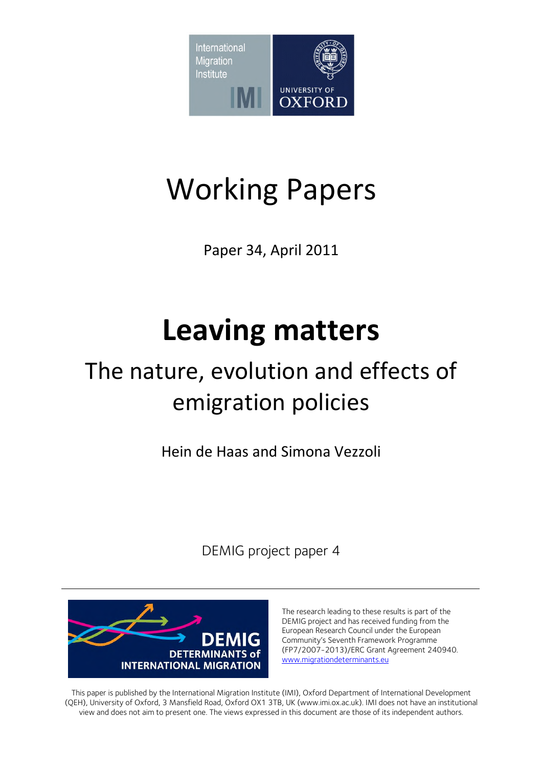

# Working Papers

Paper 34, April 2011

# **Leaving matters**

## The nature, evolution and effects of emigration policies

Hein de Haas and Simona Vezzoli

DEMIG project paper 4



The research leading to these results is part of the DEMIG project and has received funding from the European Research Council under the European Community's Seventh Framework Programme (FP7/2007-2013)/ERC Grant Agreement 240940. www.migrationdeterminants.eu

This paper is published by the International Migration Institute (IMI), Oxford Department of International Development (QEH), University of Oxford, 3 Mansfield Road, Oxford OX1 3TB, UK (www.imi.ox.ac.uk). IMI does not have an institutional view and does not aim to present one. The views expressed in this document are those of its independent authors.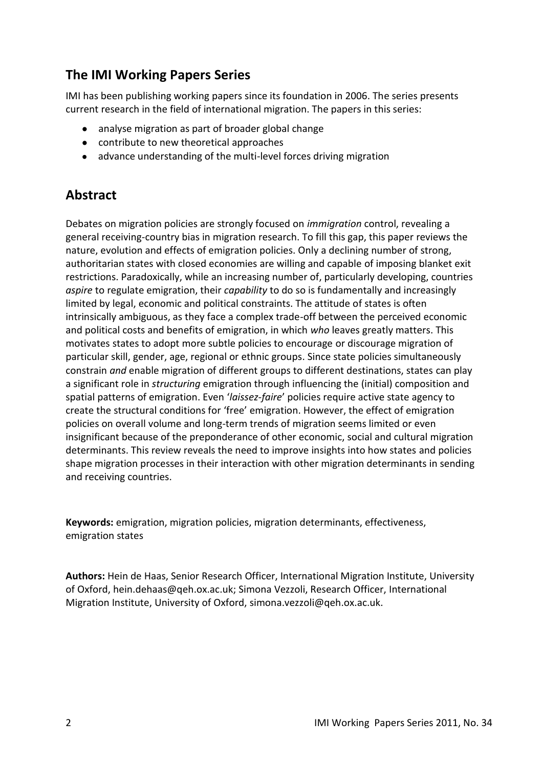## **The IMI Working Papers Series**

IMI has been publishing working papers since its foundation in 2006. The series presents current research in the field of international migration. The papers in this series:

- analyse migration as part of broader global change
- contribute to new theoretical approaches
- advance understanding of the multi-level forces driving migration

## **Abstract**

Debates on migration policies are strongly focused on *immigration* control, revealing a general receiving-country bias in migration research. To fill this gap, this paper reviews the nature, evolution and effects of emigration policies. Only a declining number of strong, authoritarian states with closed economies are willing and capable of imposing blanket exit restrictions. Paradoxically, while an increasing number of, particularly developing, countries *aspire* to regulate emigration, their *capability* to do so is fundamentally and increasingly limited by legal, economic and political constraints. The attitude of states is often intrinsically ambiguous, as they face a complex trade-off between the perceived economic and political costs and benefits of emigration, in which *who* leaves greatly matters. This motivates states to adopt more subtle policies to encourage or discourage migration of particular skill, gender, age, regional or ethnic groups. Since state policies simultaneously constrain *and* enable migration of different groups to different destinations, states can play a significant role in *structuring* emigration through influencing the (initial) composition and spatial patterns of emigration. Even '*laissez-faire*' policies require active state agency to create the structural conditions for 'free' emigration. However, the effect of emigration policies on overall volume and long-term trends of migration seems limited or even insignificant because of the preponderance of other economic, social and cultural migration determinants. This review reveals the need to improve insights into how states and policies shape migration processes in their interaction with other migration determinants in sending and receiving countries.

**Keywords:** emigration, migration policies, migration determinants, effectiveness, emigration states

**Authors:** Hein de Haas, Senior Research Officer, International Migration Institute, University of Oxford, hein.dehaas@qeh.ox.ac.uk; Simona Vezzoli, Research Officer, International Migration Institute, University of Oxford, simona.vezzoli@qeh.ox.ac.uk.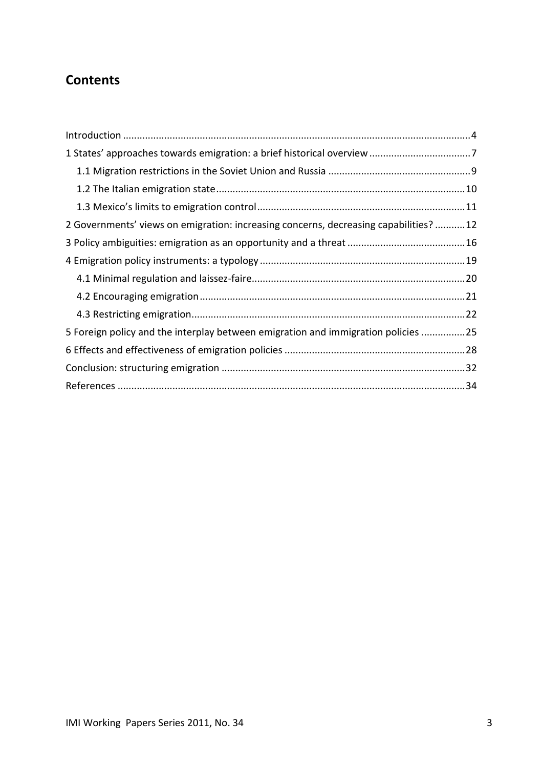## **Contents**

| 2 Governments' views on emigration: increasing concerns, decreasing capabilities? 12 |  |
|--------------------------------------------------------------------------------------|--|
|                                                                                      |  |
|                                                                                      |  |
|                                                                                      |  |
|                                                                                      |  |
|                                                                                      |  |
| 5 Foreign policy and the interplay between emigration and immigration policies 25    |  |
|                                                                                      |  |
|                                                                                      |  |
|                                                                                      |  |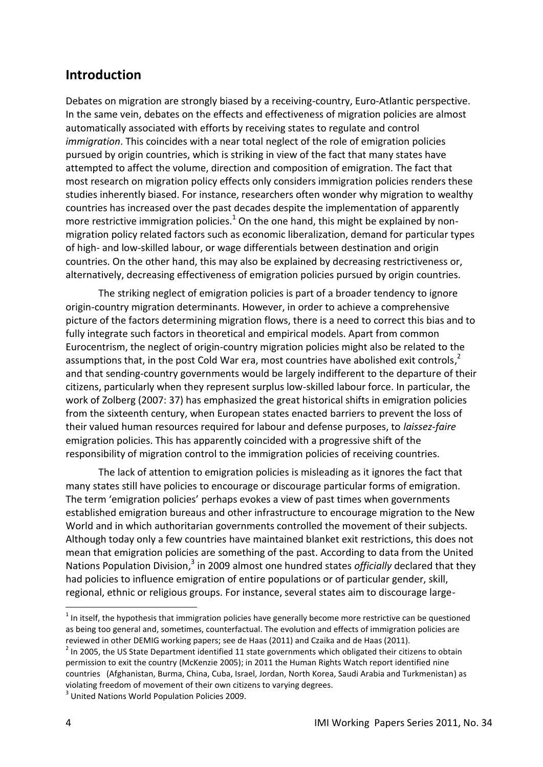#### <span id="page-3-0"></span>**Introduction**

Debates on migration are strongly biased by a receiving-country, Euro-Atlantic perspective. In the same vein, debates on the effects and effectiveness of migration policies are almost automatically associated with efforts by receiving states to regulate and control *immigration*. This coincides with a near total neglect of the role of emigration policies pursued by origin countries, which is striking in view of the fact that many states have attempted to affect the volume, direction and composition of emigration. The fact that most research on migration policy effects only considers immigration policies renders these studies inherently biased. For instance, researchers often wonder why migration to wealthy countries has increased over the past decades despite the implementation of apparently more restrictive immigration policies.<sup>1</sup> On the one hand, this might be explained by nonmigration policy related factors such as economic liberalization, demand for particular types of high- and low-skilled labour, or wage differentials between destination and origin countries. On the other hand, this may also be explained by decreasing restrictiveness or, alternatively, decreasing effectiveness of emigration policies pursued by origin countries.

The striking neglect of emigration policies is part of a broader tendency to ignore origin-country migration determinants. However, in order to achieve a comprehensive picture of the factors determining migration flows, there is a need to correct this bias and to fully integrate such factors in theoretical and empirical models. Apart from common Eurocentrism, the neglect of origin-country migration policies might also be related to the assumptions that, in the post Cold War era, most countries have abolished exit controls, $^{2}$ and that sending-country governments would be largely indifferent to the departure of their citizens, particularly when they represent surplus low-skilled labour force. In particular, the work of Zolberg (2007: 37) has emphasized the great historical shifts in emigration policies from the sixteenth century, when European states enacted barriers to prevent the loss of their valued human resources required for labour and defense purposes, to *laissez-faire* emigration policies. This has apparently coincided with a progressive shift of the responsibility of migration control to the immigration policies of receiving countries.

The lack of attention to emigration policies is misleading as it ignores the fact that many states still have policies to encourage or discourage particular forms of emigration. The term 'emigration policies' perhaps evokes a view of past times when governments established emigration bureaus and other infrastructure to encourage migration to the New World and in which authoritarian governments controlled the movement of their subjects. Although today only a few countries have maintained blanket exit restrictions, this does not mean that emigration policies are something of the past. According to data from the United Nations Population Division,<sup>3</sup> in 2009 almost one hundred states *officially* declared that they had policies to influence emigration of entire populations or of particular gender, skill, regional, ethnic or religious groups. For instance, several states aim to discourage large-

-

 $1$  In itself, the hypothesis that immigration policies have generally become more restrictive can be questioned as being too general and, sometimes, counterfactual. The evolution and effects of immigration policies are reviewed in other DEMIG working papers; see de Haas (2011) and Czaika and de Haas (2011).

 $2$  In 2005, the US State Department identified 11 state governments which obligated their citizens to obtain permission to exit the country (McKenzie 2005); in 2011 the Human Rights Watch report identified nine countries (Afghanistan, Burma, China, Cuba, Israel, Jordan, North Korea, Saudi Arabia and Turkmenistan) as violating freedom of movement of their own citizens to varying degrees.

<sup>&</sup>lt;sup>3</sup> United Nations World Population Policies 2009.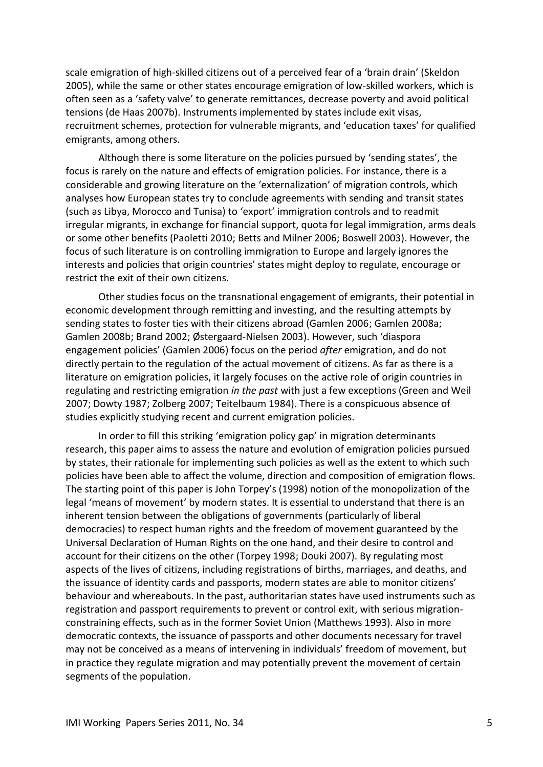scale emigration of high-skilled citizens out of a perceived fear of a 'brain drain' (Skeldon 2005), while the same or other states encourage emigration of low-skilled workers, which is often seen as a 'safety valve' to generate remittances, decrease poverty and avoid political tensions (de Haas 2007b). Instruments implemented by states include exit visas, recruitment schemes, protection for vulnerable migrants, and 'education taxes' for qualified emigrants, among others.

Although there is some literature on the policies pursued by 'sending states', the focus is rarely on the nature and effects of emigration policies. For instance, there is a considerable and growing literature on the 'externalization' of migration controls, which analyses how European states try to conclude agreements with sending and transit states (such as Libya, Morocco and Tunisa) to 'export' immigration controls and to readmit irregular migrants, in exchange for financial support, quota for legal immigration, arms deals or some other benefits (Paoletti 2010; Betts and Milner 2006; Boswell 2003). However, the focus of such literature is on controlling immigration to Europe and largely ignores the interests and policies that origin countries' states might deploy to regulate, encourage or restrict the exit of their own citizens.

Other studies focus on the transnational engagement of emigrants, their potential in economic development through remitting and investing, and the resulting attempts by sending states to foster ties with their citizens abroad (Gamlen 2006; Gamlen 2008a; Gamlen 2008b; Brand 2002; Østergaard-Nielsen 2003). However, such 'diaspora engagement policies' (Gamlen 2006) focus on the period *after* emigration, and do not directly pertain to the regulation of the actual movement of citizens. As far as there is a literature on emigration policies, it largely focuses on the active role of origin countries in regulating and restricting emigration *in the past* with just a few exceptions (Green and Weil 2007; Dowty 1987; Zolberg 2007; Teitelbaum 1984). There is a conspicuous absence of studies explicitly studying recent and current emigration policies.

In order to fill this striking 'emigration policy gap' in migration determinants research, this paper aims to assess the nature and evolution of emigration policies pursued by states, their rationale for implementing such policies as well as the extent to which such policies have been able to affect the volume, direction and composition of emigration flows. The starting point of this paper is John Torpey's (1998) notion of the monopolization of the legal 'means of movement' by modern states. It is essential to understand that there is an inherent tension between the obligations of governments (particularly of liberal democracies) to respect human rights and the freedom of movement guaranteed by the Universal Declaration of Human Rights on the one hand, and their desire to control and account for their citizens on the other (Torpey 1998; Douki 2007). By regulating most aspects of the lives of citizens, including registrations of births, marriages, and deaths, and the issuance of identity cards and passports, modern states are able to monitor citizens' behaviour and whereabouts. In the past, authoritarian states have used instruments such as registration and passport requirements to prevent or control exit, with serious migrationconstraining effects, such as in the former Soviet Union (Matthews 1993). Also in more democratic contexts, the issuance of passports and other documents necessary for travel may not be conceived as a means of intervening in individuals' freedom of movement, but in practice they regulate migration and may potentially prevent the movement of certain segments of the population.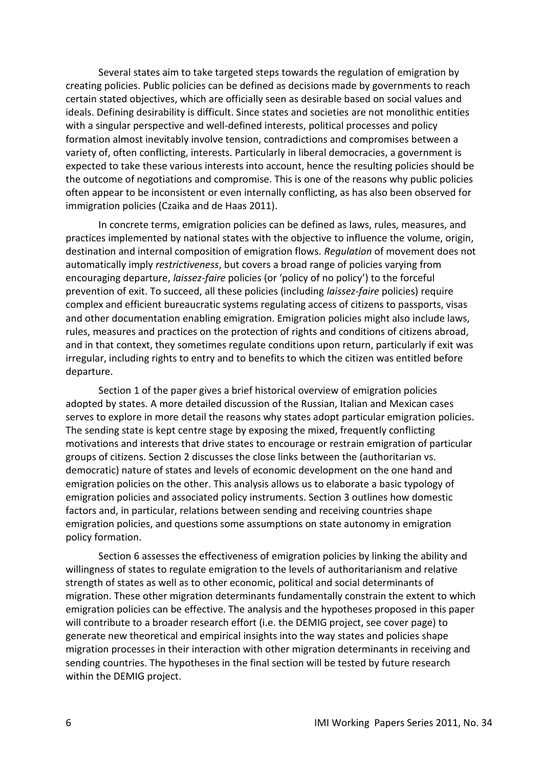Several states aim to take targeted steps towards the regulation of emigration by creating policies. Public policies can be defined as decisions made by governments to reach certain stated objectives, which are officially seen as desirable based on social values and ideals. Defining desirability is difficult. Since states and societies are not monolithic entities with a singular perspective and well-defined interests, political processes and policy formation almost inevitably involve tension, contradictions and compromises between a variety of, often conflicting, interests. Particularly in liberal democracies, a government is expected to take these various interests into account, hence the resulting policies should be the outcome of negotiations and compromise. This is one of the reasons why public policies often appear to be inconsistent or even internally conflicting, as has also been observed for immigration policies (Czaika and de Haas 2011).

In concrete terms, emigration policies can be defined as laws, rules, measures, and practices implemented by national states with the objective to influence the volume, origin, destination and internal composition of emigration flows. *Regulation* of movement does not automatically imply *restrictiveness*, but covers a broad range of policies varying from encouraging departure, *laissez-faire* policies (or 'policy of no policy') to the forceful prevention of exit. To succeed, all these policies (including *laissez-faire* policies) require complex and efficient bureaucratic systems regulating access of citizens to passports, visas and other documentation enabling emigration. Emigration policies might also include laws, rules, measures and practices on the protection of rights and conditions of citizens abroad, and in that context, they sometimes regulate conditions upon return, particularly if exit was irregular, including rights to entry and to benefits to which the citizen was entitled before departure.

Section 1 of the paper gives a brief historical overview of emigration policies adopted by states. A more detailed discussion of the Russian, Italian and Mexican cases serves to explore in more detail the reasons why states adopt particular emigration policies. The sending state is kept centre stage by exposing the mixed, frequently conflicting motivations and interests that drive states to encourage or restrain emigration of particular groups of citizens. Section 2 discusses the close links between the (authoritarian vs. democratic) nature of states and levels of economic development on the one hand and emigration policies on the other. This analysis allows us to elaborate a basic typology of emigration policies and associated policy instruments. Section 3 outlines how domestic factors and, in particular, relations between sending and receiving countries shape emigration policies, and questions some assumptions on state autonomy in emigration policy formation.

Section 6 assesses the effectiveness of emigration policies by linking the ability and willingness of states to regulate emigration to the levels of authoritarianism and relative strength of states as well as to other economic, political and social determinants of migration. These other migration determinants fundamentally constrain the extent to which emigration policies can be effective. The analysis and the hypotheses proposed in this paper will contribute to a broader research effort (i.e. the DEMIG project, see cover page) to generate new theoretical and empirical insights into the way states and policies shape migration processes in their interaction with other migration determinants in receiving and sending countries. The hypotheses in the final section will be tested by future research within the DEMIG project.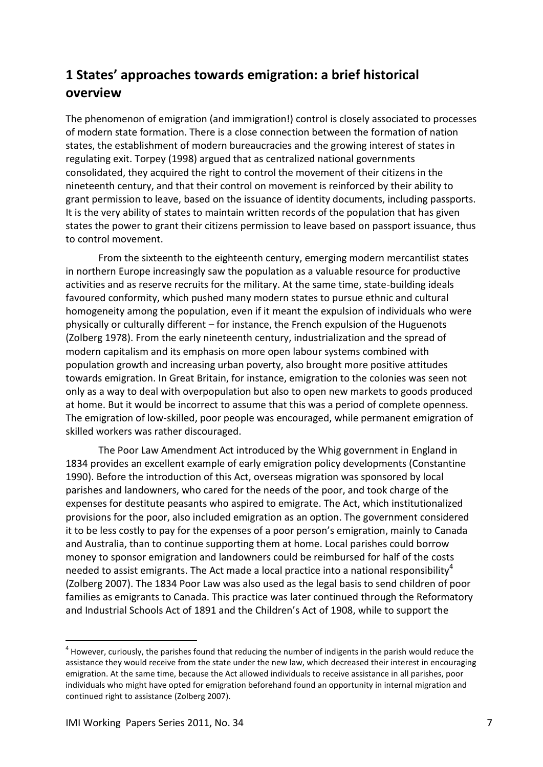## <span id="page-6-0"></span>**1 States' approaches towards emigration: a brief historical overview**

The phenomenon of emigration (and immigration!) control is closely associated to processes of modern state formation. There is a close connection between the formation of nation states, the establishment of modern bureaucracies and the growing interest of states in regulating exit. Torpey (1998) argued that as centralized national governments consolidated, they acquired the right to control the movement of their citizens in the nineteenth century, and that their control on movement is reinforced by their ability to grant permission to leave, based on the issuance of identity documents, including passports. It is the very ability of states to maintain written records of the population that has given states the power to grant their citizens permission to leave based on passport issuance, thus to control movement.

From the sixteenth to the eighteenth century, emerging modern mercantilist states in northern Europe increasingly saw the population as a valuable resource for productive activities and as reserve recruits for the military. At the same time, state-building ideals favoured conformity, which pushed many modern states to pursue ethnic and cultural homogeneity among the population, even if it meant the expulsion of individuals who were physically or culturally different – for instance, the French expulsion of the Huguenots (Zolberg 1978). From the early nineteenth century, industrialization and the spread of modern capitalism and its emphasis on more open labour systems combined with population growth and increasing urban poverty, also brought more positive attitudes towards emigration. In Great Britain, for instance, emigration to the colonies was seen not only as a way to deal with overpopulation but also to open new markets to goods produced at home. But it would be incorrect to assume that this was a period of complete openness. The emigration of low-skilled, poor people was encouraged, while permanent emigration of skilled workers was rather discouraged.

The Poor Law Amendment Act introduced by the Whig government in England in 1834 provides an excellent example of early emigration policy developments (Constantine 1990). Before the introduction of this Act, overseas migration was sponsored by local parishes and landowners, who cared for the needs of the poor, and took charge of the expenses for destitute peasants who aspired to emigrate. The Act, which institutionalized provisions for the poor, also included emigration as an option. The government considered it to be less costly to pay for the expenses of a poor person's emigration, mainly to Canada and Australia, than to continue supporting them at home. Local parishes could borrow money to sponsor emigration and landowners could be reimbursed for half of the costs needed to assist emigrants. The Act made a local practice into a national responsibility<sup>4</sup> (Zolberg 2007). The 1834 Poor Law was also used as the legal basis to send children of poor families as emigrants to Canada. This practice was later continued through the Reformatory and Industrial Schools Act of 1891 and the Children's Act of 1908, while to support the

1

 $4$  However, curiously, the parishes found that reducing the number of indigents in the parish would reduce the assistance they would receive from the state under the new law, which decreased their interest in encouraging emigration. At the same time, because the Act allowed individuals to receive assistance in all parishes, poor individuals who might have opted for emigration beforehand found an opportunity in internal migration and continued right to assistance (Zolberg 2007).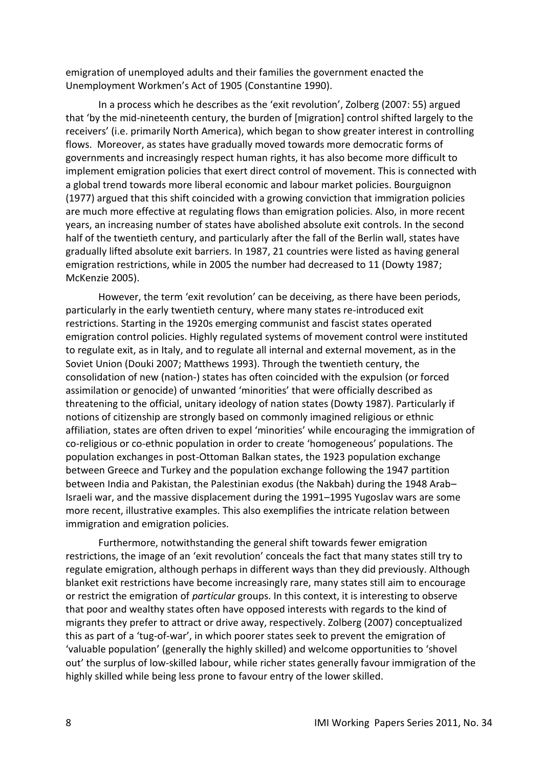emigration of unemployed adults and their families the government enacted the Unemployment Workmen's Act of 1905 (Constantine 1990).

In a process which he describes as the 'exit revolution', Zolberg (2007: 55) argued that 'by the mid-nineteenth century, the burden of [migration] control shifted largely to the receivers' (i.e. primarily North America), which began to show greater interest in controlling flows. Moreover, as states have gradually moved towards more democratic forms of governments and increasingly respect human rights, it has also become more difficult to implement emigration policies that exert direct control of movement. This is connected with a global trend towards more liberal economic and labour market policies. Bourguignon (1977) argued that this shift coincided with a growing conviction that immigration policies are much more effective at regulating flows than emigration policies. Also, in more recent years, an increasing number of states have abolished absolute exit controls. In the second half of the twentieth century, and particularly after the fall of the Berlin wall, states have gradually lifted absolute exit barriers. In 1987, 21 countries were listed as having general emigration restrictions, while in 2005 the number had decreased to 11 (Dowty 1987; McKenzie 2005).

However, the term 'exit revolution' can be deceiving, as there have been periods, particularly in the early twentieth century, where many states re-introduced exit restrictions. Starting in the 1920s emerging communist and fascist states operated emigration control policies. Highly regulated systems of movement control were instituted to regulate exit, as in Italy, and to regulate all internal and external movement, as in the Soviet Union (Douki 2007; Matthews 1993). Through the twentieth century, the consolidation of new (nation-) states has often coincided with the expulsion (or forced assimilation or genocide) of unwanted 'minorities' that were officially described as threatening to the official, unitary ideology of nation states (Dowty 1987). Particularly if notions of citizenship are strongly based on commonly imagined religious or ethnic affiliation, states are often driven to expel 'minorities' while encouraging the immigration of co-religious or co-ethnic population in order to create 'homogeneous' populations. The population exchanges in post-Ottoman Balkan states, the 1923 population exchange between Greece and Turkey and the population exchange following the 1947 partition between India and Pakistan, the Palestinian exodus (the Nakbah) during the 1948 Arab– Israeli war, and the massive displacement during the 1991–1995 Yugoslav wars are some more recent, illustrative examples. This also exemplifies the intricate relation between immigration and emigration policies.

Furthermore, notwithstanding the general shift towards fewer emigration restrictions, the image of an 'exit revolution' conceals the fact that many states still try to regulate emigration, although perhaps in different ways than they did previously. Although blanket exit restrictions have become increasingly rare, many states still aim to encourage or restrict the emigration of *particular* groups. In this context, it is interesting to observe that poor and wealthy states often have opposed interests with regards to the kind of migrants they prefer to attract or drive away, respectively. Zolberg (2007) conceptualized this as part of a 'tug-of-war', in which poorer states seek to prevent the emigration of 'valuable population' (generally the highly skilled) and welcome opportunities to 'shovel out' the surplus of low-skilled labour, while richer states generally favour immigration of the highly skilled while being less prone to favour entry of the lower skilled.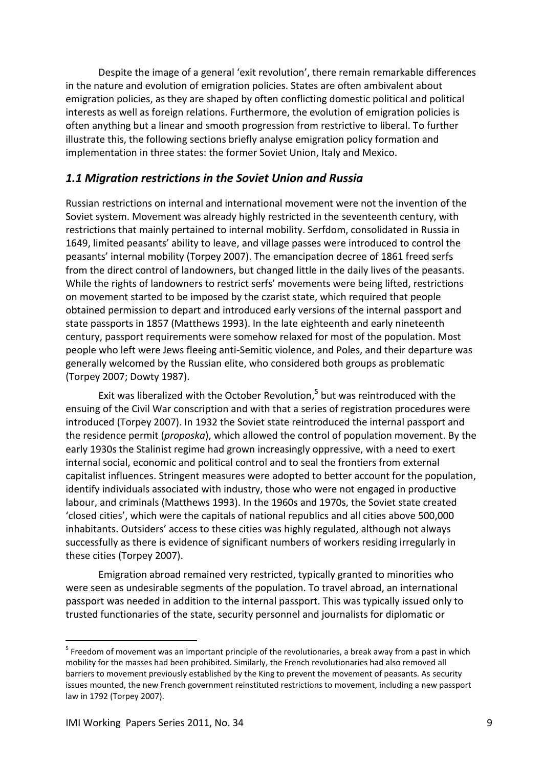Despite the image of a general 'exit revolution', there remain remarkable differences in the nature and evolution of emigration policies. States are often ambivalent about emigration policies, as they are shaped by often conflicting domestic political and political interests as well as foreign relations. Furthermore, the evolution of emigration policies is often anything but a linear and smooth progression from restrictive to liberal. To further illustrate this, the following sections briefly analyse emigration policy formation and implementation in three states: the former Soviet Union, Italy and Mexico.

#### <span id="page-8-0"></span>*1.1 Migration restrictions in the Soviet Union and Russia*

Russian restrictions on internal and international movement were not the invention of the Soviet system. Movement was already highly restricted in the seventeenth century, with restrictions that mainly pertained to internal mobility. Serfdom, consolidated in Russia in 1649, limited peasants' ability to leave, and village passes were introduced to control the peasants' internal mobility (Torpey 2007). The emancipation decree of 1861 freed serfs from the direct control of landowners, but changed little in the daily lives of the peasants. While the rights of landowners to restrict serfs' movements were being lifted, restrictions on movement started to be imposed by the czarist state, which required that people obtained permission to depart and introduced early versions of the internal passport and state passports in 1857 (Matthews 1993). In the late eighteenth and early nineteenth century, passport requirements were somehow relaxed for most of the population. Most people who left were Jews fleeing anti-Semitic violence, and Poles, and their departure was generally welcomed by the Russian elite, who considered both groups as problematic (Torpey 2007; Dowty 1987).

Exit was liberalized with the October Revolution,<sup>5</sup> but was reintroduced with the ensuing of the Civil War conscription and with that a series of registration procedures were introduced (Torpey 2007). In 1932 the Soviet state reintroduced the internal passport and the residence permit (*proposka*), which allowed the control of population movement. By the early 1930s the Stalinist regime had grown increasingly oppressive, with a need to exert internal social, economic and political control and to seal the frontiers from external capitalist influences. Stringent measures were adopted to better account for the population, identify individuals associated with industry, those who were not engaged in productive labour, and criminals (Matthews 1993). In the 1960s and 1970s, the Soviet state created 'closed cities', which were the capitals of national republics and all cities above 500,000 inhabitants. Outsiders' access to these cities was highly regulated, although not always successfully as there is evidence of significant numbers of workers residing irregularly in these cities (Torpey 2007).

Emigration abroad remained very restricted, typically granted to minorities who were seen as undesirable segments of the population. To travel abroad, an international passport was needed in addition to the internal passport. This was typically issued only to trusted functionaries of the state, security personnel and journalists for diplomatic or

1

 $<sup>5</sup>$  Freedom of movement was an important principle of the revolutionaries, a break away from a past in which</sup> mobility for the masses had been prohibited. Similarly, the French revolutionaries had also removed all barriers to movement previously established by the King to prevent the movement of peasants. As security issues mounted, the new French government reinstituted restrictions to movement, including a new passport law in 1792 (Torpey 2007).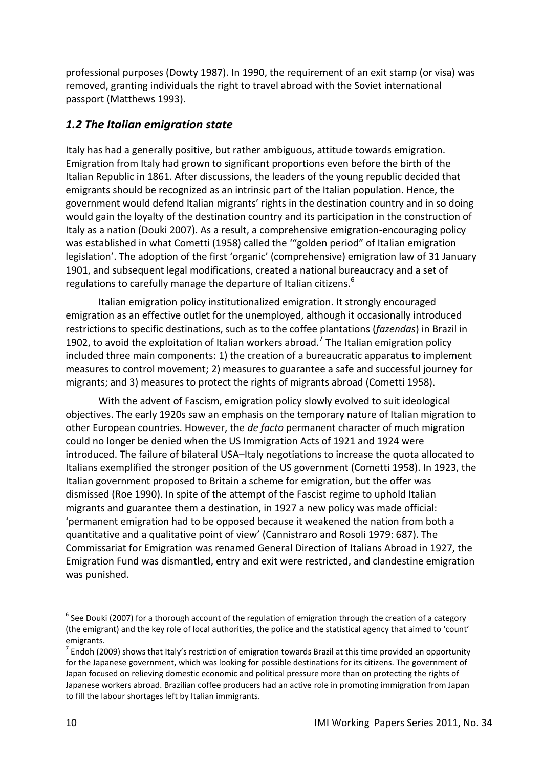professional purposes (Dowty 1987). In 1990, the requirement of an exit stamp (or visa) was removed, granting individuals the right to travel abroad with the Soviet international passport (Matthews 1993).

#### <span id="page-9-0"></span>*1.2 The Italian emigration state*

Italy has had a generally positive, but rather ambiguous, attitude towards emigration. Emigration from Italy had grown to significant proportions even before the birth of the Italian Republic in 1861. After discussions, the leaders of the young republic decided that emigrants should be recognized as an intrinsic part of the Italian population. Hence, the government would defend Italian migrants' rights in the destination country and in so doing would gain the loyalty of the destination country and its participation in the construction of Italy as a nation (Douki 2007). As a result, a comprehensive emigration-encouraging policy was established in what Cometti (1958) called the '"golden period" of Italian emigration legislation'. The adoption of the first 'organic' (comprehensive) emigration law of 31 January 1901, and subsequent legal modifications, created a national bureaucracy and a set of regulations to carefully manage the departure of Italian citizens.<sup>6</sup>

Italian emigration policy institutionalized emigration. It strongly encouraged emigration as an effective outlet for the unemployed, although it occasionally introduced restrictions to specific destinations, such as to the coffee plantations (*fazendas*) in Brazil in 1902, to avoid the exploitation of Italian workers abroad.<sup>7</sup> The Italian emigration policy included three main components: 1) the creation of a bureaucratic apparatus to implement measures to control movement; 2) measures to guarantee a safe and successful journey for migrants; and 3) measures to protect the rights of migrants abroad (Cometti 1958).

With the advent of Fascism, emigration policy slowly evolved to suit ideological objectives. The early 1920s saw an emphasis on the temporary nature of Italian migration to other European countries. However, the *de facto* permanent character of much migration could no longer be denied when the US Immigration Acts of 1921 and 1924 were introduced. The failure of bilateral USA–Italy negotiations to increase the quota allocated to Italians exemplified the stronger position of the US government (Cometti 1958). In 1923, the Italian government proposed to Britain a scheme for emigration, but the offer was dismissed (Roe 1990). In spite of the attempt of the Fascist regime to uphold Italian migrants and guarantee them a destination, in 1927 a new policy was made official: 'permanent emigration had to be opposed because it weakened the nation from both a quantitative and a qualitative point of view' (Cannistraro and Rosoli 1979: 687). The Commissariat for Emigration was renamed General Direction of Italians Abroad in 1927, the Emigration Fund was dismantled, entry and exit were restricted, and clandestine emigration was punished.

-

 $^6$  See Douki (2007) for a thorough account of the regulation of emigration through the creation of a category (the emigrant) and the key role of local authorities, the police and the statistical agency that aimed to 'count' emigrants.

 $^7$  Endoh (2009) shows that Italy's restriction of emigration towards Brazil at this time provided an opportunity for the Japanese government, which was looking for possible destinations for its citizens. The government of Japan focused on relieving domestic economic and political pressure more than on protecting the rights of Japanese workers abroad. Brazilian coffee producers had an active role in promoting immigration from Japan to fill the labour shortages left by Italian immigrants.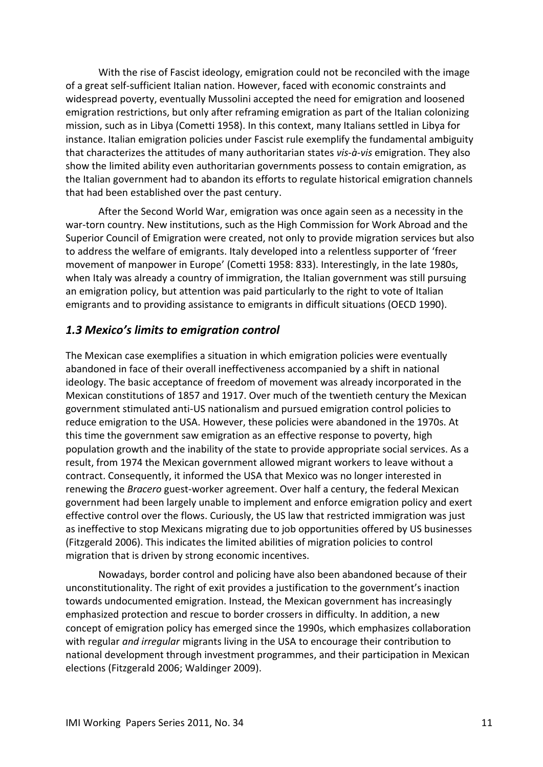With the rise of Fascist ideology, emigration could not be reconciled with the image of a great self-sufficient Italian nation. However, faced with economic constraints and widespread poverty, eventually Mussolini accepted the need for emigration and loosened emigration restrictions, but only after reframing emigration as part of the Italian colonizing mission, such as in Libya (Cometti 1958). In this context, many Italians settled in Libya for instance. Italian emigration policies under Fascist rule exemplify the fundamental ambiguity that characterizes the attitudes of many authoritarian states *vis-à-vis* emigration. They also show the limited ability even authoritarian governments possess to contain emigration, as the Italian government had to abandon its efforts to regulate historical emigration channels that had been established over the past century.

After the Second World War, emigration was once again seen as a necessity in the war-torn country. New institutions, such as the High Commission for Work Abroad and the Superior Council of Emigration were created, not only to provide migration services but also to address the welfare of emigrants. Italy developed into a relentless supporter of 'freer movement of manpower in Europe' (Cometti 1958: 833). Interestingly, in the late 1980s, when Italy was already a country of immigration, the Italian government was still pursuing an emigration policy, but attention was paid particularly to the right to vote of Italian emigrants and to providing assistance to emigrants in difficult situations (OECD 1990).

#### <span id="page-10-0"></span>*1.3 Mexico's limits to emigration control*

The Mexican case exemplifies a situation in which emigration policies were eventually abandoned in face of their overall ineffectiveness accompanied by a shift in national ideology. The basic acceptance of freedom of movement was already incorporated in the Mexican constitutions of 1857 and 1917. Over much of the twentieth century the Mexican government stimulated anti-US nationalism and pursued emigration control policies to reduce emigration to the USA. However, these policies were abandoned in the 1970s. At this time the government saw emigration as an effective response to poverty, high population growth and the inability of the state to provide appropriate social services. As a result, from 1974 the Mexican government allowed migrant workers to leave without a contract. Consequently, it informed the USA that Mexico was no longer interested in renewing the *Bracero* guest-worker agreement. Over half a century, the federal Mexican government had been largely unable to implement and enforce emigration policy and exert effective control over the flows. Curiously, the US law that restricted immigration was just as ineffective to stop Mexicans migrating due to job opportunities offered by US businesses (Fitzgerald 2006). This indicates the limited abilities of migration policies to control migration that is driven by strong economic incentives.

Nowadays, border control and policing have also been abandoned because of their unconstitutionality. The right of exit provides a justification to the government's inaction towards undocumented emigration. Instead, the Mexican government has increasingly emphasized protection and rescue to border crossers in difficulty. In addition, a new concept of emigration policy has emerged since the 1990s, which emphasizes collaboration with regular *and irregular* migrants living in the USA to encourage their contribution to national development through investment programmes, and their participation in Mexican elections (Fitzgerald 2006; Waldinger 2009).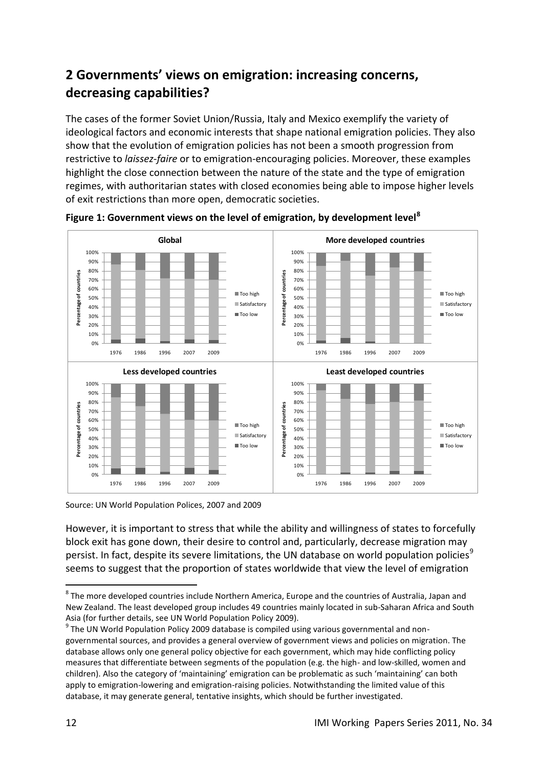## <span id="page-11-0"></span>**2 Governments' views on emigration: increasing concerns, decreasing capabilities?**

The cases of the former Soviet Union/Russia, Italy and Mexico exemplify the variety of ideological factors and economic interests that shape national emigration policies. They also show that the evolution of emigration policies has not been a smooth progression from restrictive to *laissez-faire* or to emigration-encouraging policies. Moreover, these examples highlight the close connection between the nature of the state and the type of emigration regimes, with authoritarian states with closed economies being able to impose higher levels of exit restrictions than more open, democratic societies.



**Figure 1: Government views on the level of emigration, by development level<sup>8</sup>**

Source: UN World Population Polices, 2007 and 2009

However, it is important to stress that while the ability and willingness of states to forcefully block exit has gone down, their desire to control and, particularly, decrease migration may persist. In fact, despite its severe limitations, the UN database on world population policies<sup>9</sup> seems to suggest that the proportion of states worldwide that view the level of emigration

<sup>1</sup>  $^8$  The more developed countries include Northern America, Europe and the countries of Australia, Japan and New Zealand. The least developed group includes 49 countries mainly located in sub-Saharan Africa and South Asia (for further details, see UN World Population Policy 2009).

<sup>&</sup>lt;sup>9</sup> The UN World Population Policy 2009 database is compiled using various governmental and nongovernmental sources, and provides a general overview of government views and policies on migration. The database allows only one general policy objective for each government, which may hide conflicting policy measures that differentiate between segments of the population (e.g. the high- and low-skilled, women and children). Also the category of 'maintaining' emigration can be problematic as such 'maintaining' can both apply to emigration-lowering and emigration-raising policies. Notwithstanding the limited value of this database, it may generate general, tentative insights, which should be further investigated.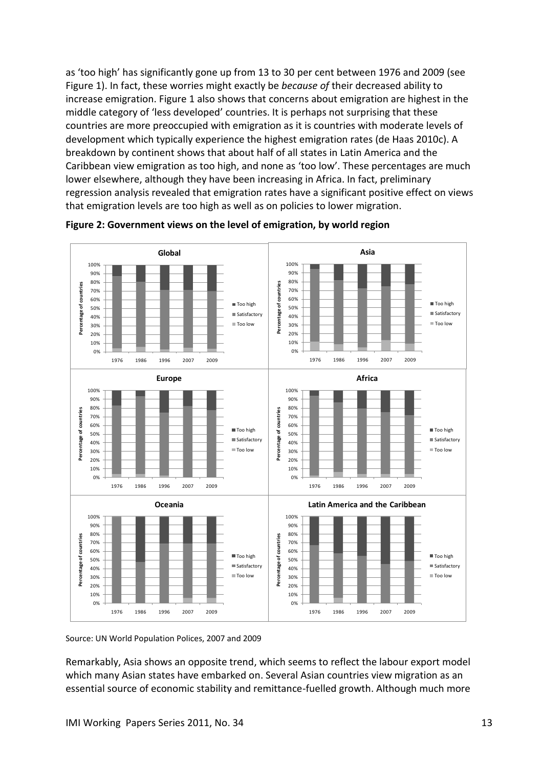as 'too high' has significantly gone up from 13 to 30 per cent between 1976 and 2009 (see Figure 1). In fact, these worries might exactly be *because of* their decreased ability to increase emigration. Figure 1 also shows that concerns about emigration are highest in the middle category of 'less developed' countries. It is perhaps not surprising that these countries are more preoccupied with emigration as it is countries with moderate levels of development which typically experience the highest emigration rates (de Haas 2010c). A breakdown by continent shows that about half of all states in Latin America and the Caribbean view emigration as too high, and none as 'too low'. These percentages are much lower elsewhere, although they have been increasing in Africa. In fact, preliminary regression analysis revealed that emigration rates have a significant positive effect on views that emigration levels are too high as well as on policies to lower migration.





Source: UN World Population Polices, 2007 and 2009

Remarkably, Asia shows an opposite trend, which seems to reflect the labour export model which many Asian states have embarked on. Several Asian countries view migration as an essential source of economic stability and remittance-fuelled growth. Although much more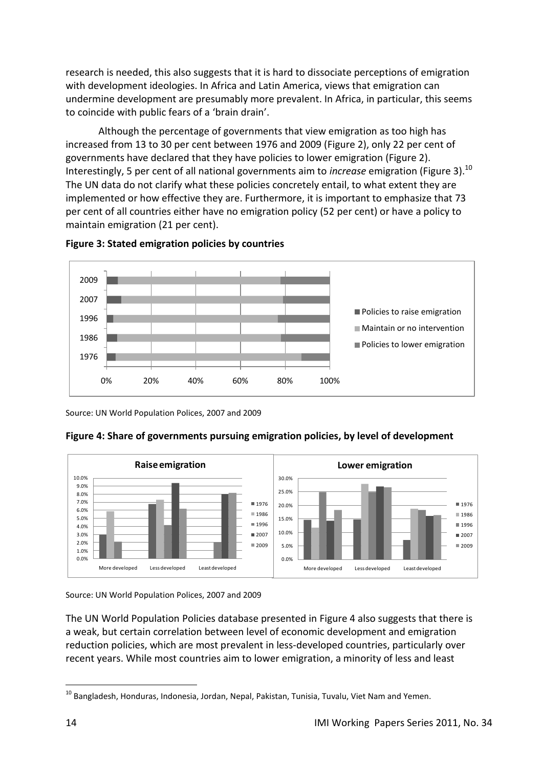research is needed, this also suggests that it is hard to dissociate perceptions of emigration with development ideologies. In Africa and Latin America, views that emigration can undermine development are presumably more prevalent. In Africa, in particular, this seems to coincide with public fears of a 'brain drain'.

Although the percentage of governments that view emigration as too high has increased from 13 to 30 per cent between 1976 and 2009 (Figure 2), only 22 per cent of governments have declared that they have policies to lower emigration (Figure 2). Interestingly, 5 per cent of all national governments aim to *increase* emigration (Figure 3).<sup>10</sup> The UN data do not clarify what these policies concretely entail, to what extent they are implemented or how effective they are. Furthermore, it is important to emphasize that 73 per cent of all countries either have no emigration policy (52 per cent) or have a policy to maintain emigration (21 per cent).



![](_page_13_Figure_3.jpeg)

Source: UN World Population Polices, 2007 and 2009

![](_page_13_Figure_5.jpeg)

![](_page_13_Figure_6.jpeg)

Source: UN World Population Polices, 2007 and 2009

The UN World Population Policies database presented in Figure 4 also suggests that there is a weak, but certain correlation between level of economic development and emigration reduction policies, which are most prevalent in less-developed countries, particularly over recent years. While most countries aim to lower emigration, a minority of less and least

<sup>1</sup>  $10$  Bangladesh, Honduras, Indonesia, Jordan, Nepal, Pakistan, Tunisia, Tuvalu, Viet Nam and Yemen.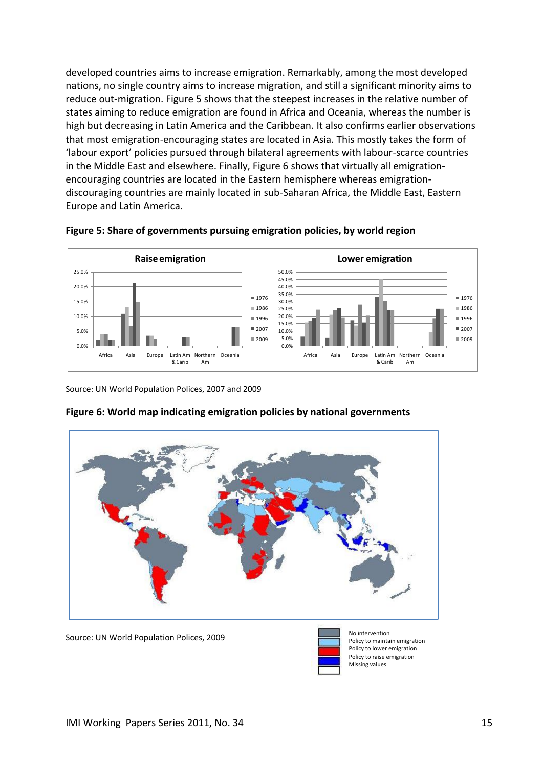developed countries aims to increase emigration. Remarkably, among the most developed nations, no single country aims to increase migration, and still a significant minority aims to reduce out-migration. Figure 5 shows that the steepest increases in the relative number of states aiming to reduce emigration are found in Africa and Oceania, whereas the number is high but decreasing in Latin America and the Caribbean. It also confirms earlier observations that most emigration-encouraging states are located in Asia. This mostly takes the form of 'labour export' policies pursued through bilateral agreements with labour-scarce countries in the Middle East and elsewhere. Finally, Figure 6 shows that virtually all emigrationencouraging countries are located in the Eastern hemisphere whereas emigrationdiscouraging countries are mainly located in sub-Saharan Africa, the Middle East, Eastern Europe and Latin America.

![](_page_14_Figure_1.jpeg)

![](_page_14_Figure_2.jpeg)

Source: UN World Population Polices, 2007 and 2009

![](_page_14_Figure_4.jpeg)

#### **Figure 6: World map indicating emigration policies by national governments**

Source: UN World Population Polices, 2009

![](_page_14_Picture_7.jpeg)

Policy to maintain emigration Policy to lower emigration Policy to raise emigration Missing values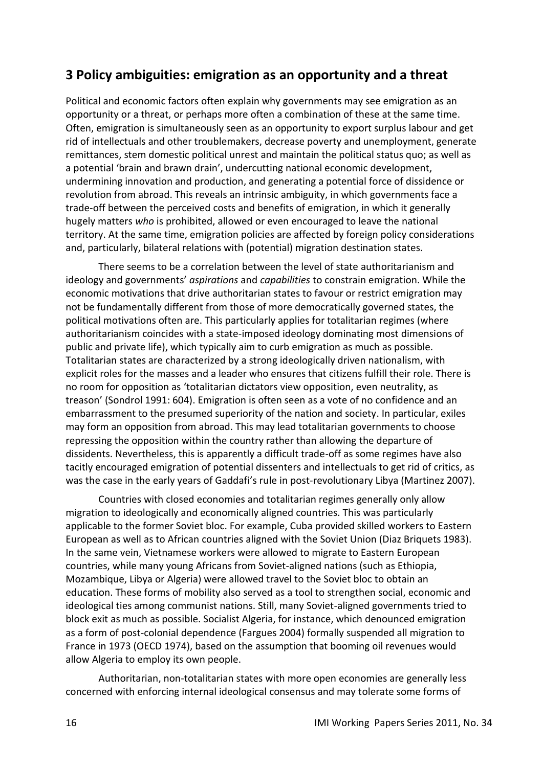## <span id="page-15-0"></span>**3 Policy ambiguities: emigration as an opportunity and a threat**

Political and economic factors often explain why governments may see emigration as an opportunity or a threat, or perhaps more often a combination of these at the same time. Often, emigration is simultaneously seen as an opportunity to export surplus labour and get rid of intellectuals and other troublemakers, decrease poverty and unemployment, generate remittances, stem domestic political unrest and maintain the political status quo; as well as a potential 'brain and brawn drain', undercutting national economic development, undermining innovation and production, and generating a potential force of dissidence or revolution from abroad. This reveals an intrinsic ambiguity, in which governments face a trade-off between the perceived costs and benefits of emigration, in which it generally hugely matters *who* is prohibited, allowed or even encouraged to leave the national territory. At the same time, emigration policies are affected by foreign policy considerations and, particularly, bilateral relations with (potential) migration destination states.

There seems to be a correlation between the level of state authoritarianism and ideology and governments' *aspirations* and *capabilities* to constrain emigration. While the economic motivations that drive authoritarian states to favour or restrict emigration may not be fundamentally different from those of more democratically governed states, the political motivations often are. This particularly applies for totalitarian regimes (where authoritarianism coincides with a state-imposed ideology dominating most dimensions of public and private life), which typically aim to curb emigration as much as possible. Totalitarian states are characterized by a strong ideologically driven nationalism, with explicit roles for the masses and a leader who ensures that citizens fulfill their role. There is no room for opposition as 'totalitarian dictators view opposition, even neutrality, as treason' (Sondrol 1991: 604). Emigration is often seen as a vote of no confidence and an embarrassment to the presumed superiority of the nation and society. In particular, exiles may form an opposition from abroad. This may lead totalitarian governments to choose repressing the opposition within the country rather than allowing the departure of dissidents. Nevertheless, this is apparently a difficult trade-off as some regimes have also tacitly encouraged emigration of potential dissenters and intellectuals to get rid of critics, as was the case in the early years of Gaddafi's rule in post-revolutionary Libya (Martinez 2007).

Countries with closed economies and totalitarian regimes generally only allow migration to ideologically and economically aligned countries. This was particularly applicable to the former Soviet bloc. For example, Cuba provided skilled workers to Eastern European as well as to African countries aligned with the Soviet Union (Diaz Briquets 1983). In the same vein, Vietnamese workers were allowed to migrate to Eastern European countries, while many young Africans from Soviet-aligned nations (such as Ethiopia, Mozambique, Libya or Algeria) were allowed travel to the Soviet bloc to obtain an education. These forms of mobility also served as a tool to strengthen social, economic and ideological ties among communist nations. Still, many Soviet-aligned governments tried to block exit as much as possible. Socialist Algeria, for instance, which denounced emigration as a form of post-colonial dependence (Fargues 2004) formally suspended all migration to France in 1973 (OECD 1974), based on the assumption that booming oil revenues would allow Algeria to employ its own people.

Authoritarian, non-totalitarian states with more open economies are generally less concerned with enforcing internal ideological consensus and may tolerate some forms of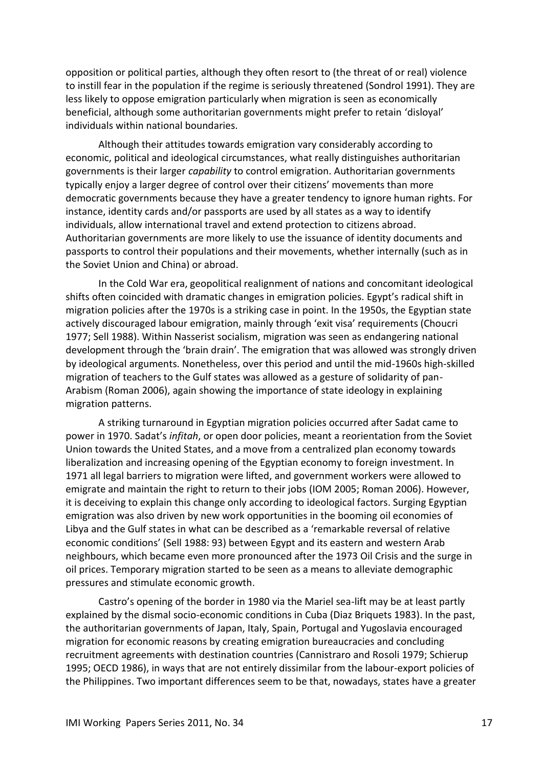opposition or political parties, although they often resort to (the threat of or real) violence to instill fear in the population if the regime is seriously threatened (Sondrol 1991). They are less likely to oppose emigration particularly when migration is seen as economically beneficial, although some authoritarian governments might prefer to retain 'disloyal' individuals within national boundaries.

Although their attitudes towards emigration vary considerably according to economic, political and ideological circumstances, what really distinguishes authoritarian governments is their larger *capability* to control emigration. Authoritarian governments typically enjoy a larger degree of control over their citizens' movements than more democratic governments because they have a greater tendency to ignore human rights. For instance, identity cards and/or passports are used by all states as a way to identify individuals, allow international travel and extend protection to citizens abroad. Authoritarian governments are more likely to use the issuance of identity documents and passports to control their populations and their movements, whether internally (such as in the Soviet Union and China) or abroad.

In the Cold War era, geopolitical realignment of nations and concomitant ideological shifts often coincided with dramatic changes in emigration policies. Egypt's radical shift in migration policies after the 1970s is a striking case in point. In the 1950s, the Egyptian state actively discouraged labour emigration, mainly through 'exit visa' requirements (Choucri 1977; Sell 1988). Within Nasserist socialism, migration was seen as endangering national development through the 'brain drain'. The emigration that was allowed was strongly driven by ideological arguments. Nonetheless, over this period and until the mid-1960s high-skilled migration of teachers to the Gulf states was allowed as a gesture of solidarity of pan-Arabism (Roman 2006), again showing the importance of state ideology in explaining migration patterns.

A striking turnaround in Egyptian migration policies occurred after Sadat came to power in 1970. Sadat's *infitah*, or open door policies, meant a reorientation from the Soviet Union towards the United States, and a move from a centralized plan economy towards liberalization and increasing opening of the Egyptian economy to foreign investment. In 1971 all legal barriers to migration were lifted, and government workers were allowed to emigrate and maintain the right to return to their jobs (IOM 2005; Roman 2006). However, it is deceiving to explain this change only according to ideological factors. Surging Egyptian emigration was also driven by new work opportunities in the booming oil economies of Libya and the Gulf states in what can be described as a 'remarkable reversal of relative economic conditions' (Sell 1988: 93) between Egypt and its eastern and western Arab neighbours, which became even more pronounced after the 1973 Oil Crisis and the surge in oil prices. Temporary migration started to be seen as a means to alleviate demographic pressures and stimulate economic growth.

Castro's opening of the border in 1980 via the Mariel sea-lift may be at least partly explained by the dismal socio-economic conditions in Cuba (Diaz Briquets 1983). In the past, the authoritarian governments of Japan, Italy, Spain, Portugal and Yugoslavia encouraged migration for economic reasons by creating emigration bureaucracies and concluding recruitment agreements with destination countries (Cannistraro and Rosoli 1979; Schierup 1995; OECD 1986), in ways that are not entirely dissimilar from the labour-export policies of the Philippines. Two important differences seem to be that, nowadays, states have a greater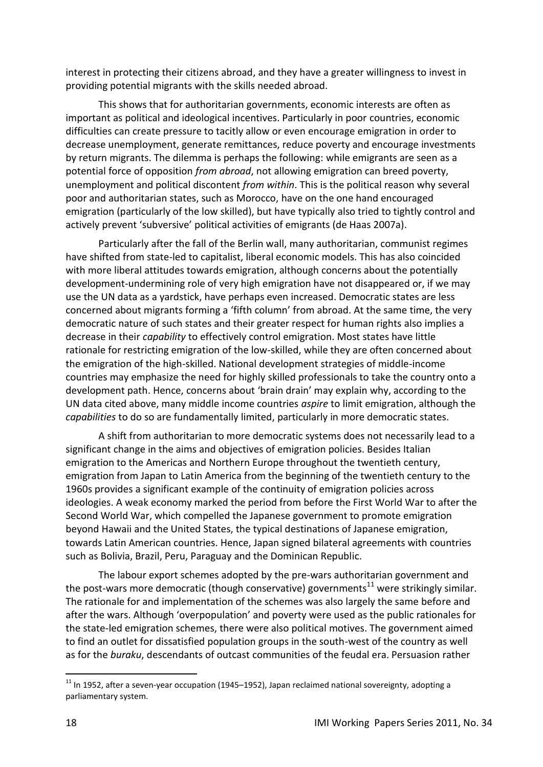interest in protecting their citizens abroad, and they have a greater willingness to invest in providing potential migrants with the skills needed abroad.

This shows that for authoritarian governments, economic interests are often as important as political and ideological incentives. Particularly in poor countries, economic difficulties can create pressure to tacitly allow or even encourage emigration in order to decrease unemployment, generate remittances, reduce poverty and encourage investments by return migrants. The dilemma is perhaps the following: while emigrants are seen as a potential force of opposition *from abroad*, not allowing emigration can breed poverty, unemployment and political discontent *from within*. This is the political reason why several poor and authoritarian states, such as Morocco, have on the one hand encouraged emigration (particularly of the low skilled), but have typically also tried to tightly control and actively prevent 'subversive' political activities of emigrants (de Haas 2007a).

Particularly after the fall of the Berlin wall, many authoritarian, communist regimes have shifted from state-led to capitalist, liberal economic models. This has also coincided with more liberal attitudes towards emigration, although concerns about the potentially development-undermining role of very high emigration have not disappeared or, if we may use the UN data as a yardstick, have perhaps even increased. Democratic states are less concerned about migrants forming a 'fifth column' from abroad. At the same time, the very democratic nature of such states and their greater respect for human rights also implies a decrease in their *capability* to effectively control emigration. Most states have little rationale for restricting emigration of the low-skilled, while they are often concerned about the emigration of the high-skilled. National development strategies of middle-income countries may emphasize the need for highly skilled professionals to take the country onto a development path. Hence, concerns about 'brain drain' may explain why, according to the UN data cited above, many middle income countries *aspire* to limit emigration, although the *capabilities* to do so are fundamentally limited, particularly in more democratic states.

A shift from authoritarian to more democratic systems does not necessarily lead to a significant change in the aims and objectives of emigration policies. Besides Italian emigration to the Americas and Northern Europe throughout the twentieth century, emigration from Japan to Latin America from the beginning of the twentieth century to the 1960s provides a significant example of the continuity of emigration policies across ideologies. A weak economy marked the period from before the First World War to after the Second World War, which compelled the Japanese government to promote emigration beyond Hawaii and the United States, the typical destinations of Japanese emigration, towards Latin American countries. Hence, Japan signed bilateral agreements with countries such as Bolivia, Brazil, Peru, Paraguay and the Dominican Republic.

The labour export schemes adopted by the pre-wars authoritarian government and the post-wars more democratic (though conservative) governments<sup>11</sup> were strikingly similar. The rationale for and implementation of the schemes was also largely the same before and after the wars. Although 'overpopulation' and poverty were used as the public rationales for the state-led emigration schemes, there were also political motives. The government aimed to find an outlet for dissatisfied population groups in the south-west of the country as well as for the *buraku*, descendants of outcast communities of the feudal era. Persuasion rather

-

 $11$  In 1952, after a seven-year occupation (1945–1952), Japan reclaimed national sovereignty, adopting a parliamentary system.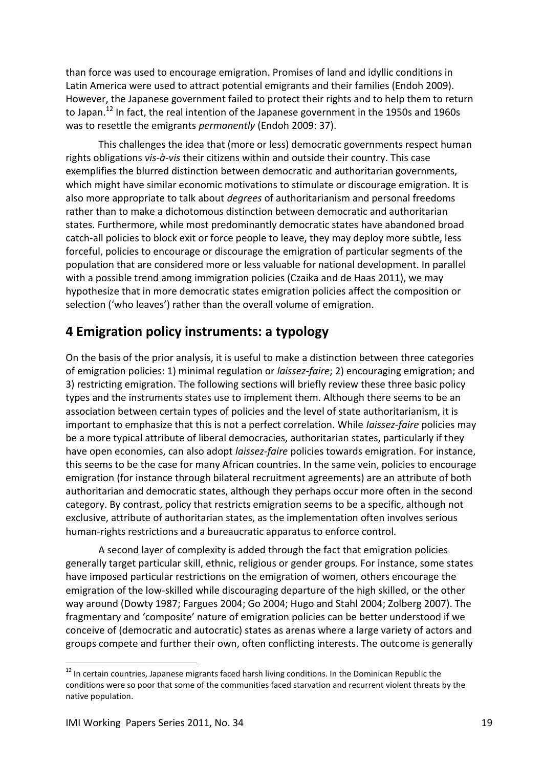than force was used to encourage emigration. Promises of land and idyllic conditions in Latin America were used to attract potential emigrants and their families (Endoh 2009). However, the Japanese government failed to protect their rights and to help them to return to Japan.<sup>12</sup> In fact, the real intention of the Japanese government in the 1950s and 1960s was to resettle the emigrants *permanently* (Endoh 2009: 37).

This challenges the idea that (more or less) democratic governments respect human rights obligations *vis-à-vis* their citizens within and outside their country. This case exemplifies the blurred distinction between democratic and authoritarian governments, which might have similar economic motivations to stimulate or discourage emigration. It is also more appropriate to talk about *degrees* of authoritarianism and personal freedoms rather than to make a dichotomous distinction between democratic and authoritarian states. Furthermore, while most predominantly democratic states have abandoned broad catch-all policies to block exit or force people to leave, they may deploy more subtle, less forceful, policies to encourage or discourage the emigration of particular segments of the population that are considered more or less valuable for national development. In parallel with a possible trend among immigration policies (Czaika and de Haas 2011), we may hypothesize that in more democratic states emigration policies affect the composition or selection ('who leaves') rather than the overall volume of emigration.

### <span id="page-18-0"></span>**4 Emigration policy instruments: a typology**

On the basis of the prior analysis, it is useful to make a distinction between three categories of emigration policies: 1) minimal regulation or *laissez-faire*; 2) encouraging emigration; and 3) restricting emigration. The following sections will briefly review these three basic policy types and the instruments states use to implement them. Although there seems to be an association between certain types of policies and the level of state authoritarianism, it is important to emphasize that this is not a perfect correlation. While *Iaissez-faire* policies may be a more typical attribute of liberal democracies, authoritarian states, particularly if they have open economies, can also adopt *laissez-faire* policies towards emigration. For instance, this seems to be the case for many African countries. In the same vein, policies to encourage emigration (for instance through bilateral recruitment agreements) are an attribute of both authoritarian and democratic states, although they perhaps occur more often in the second category. By contrast, policy that restricts emigration seems to be a specific, although not exclusive, attribute of authoritarian states, as the implementation often involves serious human-rights restrictions and a bureaucratic apparatus to enforce control.

A second layer of complexity is added through the fact that emigration policies generally target particular skill, ethnic, religious or gender groups. For instance, some states have imposed particular restrictions on the emigration of women, others encourage the emigration of the low-skilled while discouraging departure of the high skilled, or the other way around (Dowty 1987; Fargues 2004; Go 2004; Hugo and Stahl 2004; Zolberg 2007). The fragmentary and 'composite' nature of emigration policies can be better understood if we conceive of (democratic and autocratic) states as arenas where a large variety of actors and groups compete and further their own, often conflicting interests. The outcome is generally

1

 $12$  In certain countries, Japanese migrants faced harsh living conditions. In the Dominican Republic the conditions were so poor that some of the communities faced starvation and recurrent violent threats by the native population.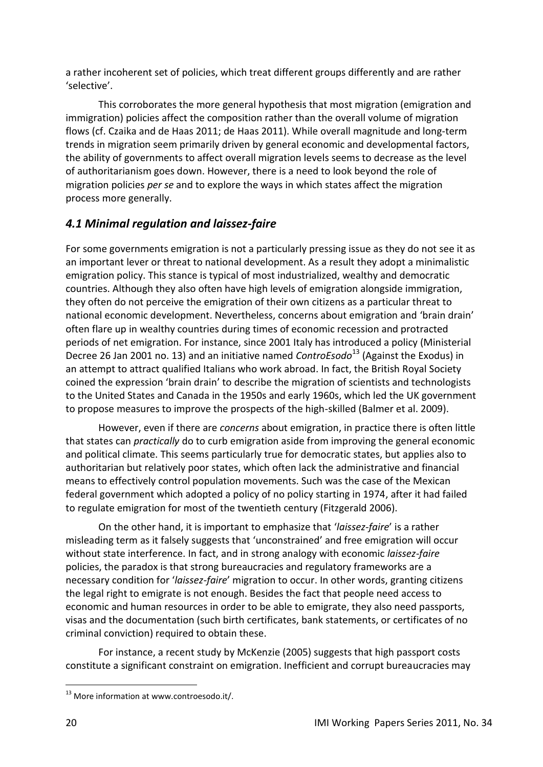a rather incoherent set of policies, which treat different groups differently and are rather 'selective'.

This corroborates the more general hypothesis that most migration (emigration and immigration) policies affect the composition rather than the overall volume of migration flows (cf. Czaika and de Haas 2011; de Haas 2011). While overall magnitude and long-term trends in migration seem primarily driven by general economic and developmental factors, the ability of governments to affect overall migration levels seems to decrease as the level of authoritarianism goes down. However, there is a need to look beyond the role of migration policies *per se* and to explore the ways in which states affect the migration process more generally.

#### <span id="page-19-0"></span>*4.1 Minimal regulation and laissez-faire*

For some governments emigration is not a particularly pressing issue as they do not see it as an important lever or threat to national development. As a result they adopt a minimalistic emigration policy. This stance is typical of most industrialized, wealthy and democratic countries. Although they also often have high levels of emigration alongside immigration, they often do not perceive the emigration of their own citizens as a particular threat to national economic development. Nevertheless, concerns about emigration and 'brain drain' often flare up in wealthy countries during times of economic recession and protracted periods of net emigration. For instance, since 2001 Italy has introduced a policy (Ministerial Decree 26 Jan 2001 no. 13) and an initiative named *ControEsodo*<sup>13</sup> (Against the Exodus) in an attempt to attract qualified Italians who work abroad. In fact, the British Royal Society coined the expression 'brain drain' to describe the migration of scientists and technologists to the United States and Canada in the 1950s and early 1960s, which led the UK government to propose measures to improve the prospects of the high-skilled (Balmer et al. 2009).

However, even if there are *concerns* about emigration, in practice there is often little that states can *practically* do to curb emigration aside from improving the general economic and political climate. This seems particularly true for democratic states, but applies also to authoritarian but relatively poor states, which often lack the administrative and financial means to effectively control population movements. Such was the case of the Mexican federal government which adopted a policy of no policy starting in 1974, after it had failed to regulate emigration for most of the twentieth century (Fitzgerald 2006).

On the other hand, it is important to emphasize that '*laissez-faire*' is a rather misleading term as it falsely suggests that 'unconstrained' and free emigration will occur without state interference. In fact, and in strong analogy with economic *laissez-faire* policies, the paradox is that strong bureaucracies and regulatory frameworks are a necessary condition for '*laissez-faire*' migration to occur. In other words, granting citizens the legal right to emigrate is not enough. Besides the fact that people need access to economic and human resources in order to be able to emigrate, they also need passports, visas and the documentation (such birth certificates, bank statements, or certificates of no criminal conviction) required to obtain these.

For instance, a recent study by McKenzie (2005) suggests that high passport costs constitute a significant constraint on emigration. Inefficient and corrupt bureaucracies may

1

<sup>&</sup>lt;sup>13</sup> More information at www.controesodo.it/.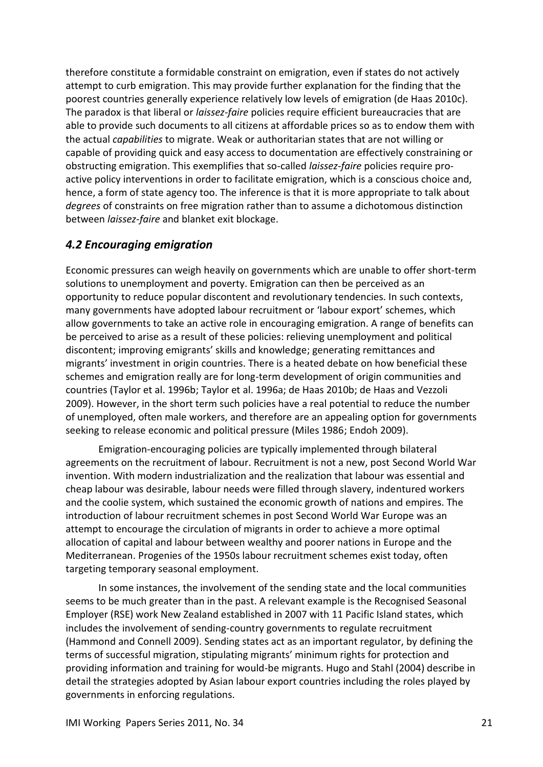therefore constitute a formidable constraint on emigration, even if states do not actively attempt to curb emigration. This may provide further explanation for the finding that the poorest countries generally experience relatively low levels of emigration (de Haas 2010c). The paradox is that liberal or *laissez-faire* policies require efficient bureaucracies that are able to provide such documents to all citizens at affordable prices so as to endow them with the actual *capabilities* to migrate. Weak or authoritarian states that are not willing or capable of providing quick and easy access to documentation are effectively constraining or obstructing emigration. This exemplifies that so-called *laissez-faire* policies require proactive policy interventions in order to facilitate emigration, which is a conscious choice and, hence, a form of state agency too. The inference is that it is more appropriate to talk about *degrees* of constraints on free migration rather than to assume a dichotomous distinction between *laissez-faire* and blanket exit blockage.

#### <span id="page-20-0"></span>*4.2 Encouraging emigration*

Economic pressures can weigh heavily on governments which are unable to offer short-term solutions to unemployment and poverty. Emigration can then be perceived as an opportunity to reduce popular discontent and revolutionary tendencies. In such contexts, many governments have adopted labour recruitment or 'labour export' schemes, which allow governments to take an active role in encouraging emigration. A range of benefits can be perceived to arise as a result of these policies: relieving unemployment and political discontent; improving emigrants' skills and knowledge; generating remittances and migrants' investment in origin countries. There is a heated debate on how beneficial these schemes and emigration really are for long-term development of origin communities and countries (Taylor et al. 1996b; Taylor et al. 1996a; de Haas 2010b; de Haas and Vezzoli 2009). However, in the short term such policies have a real potential to reduce the number of unemployed, often male workers, and therefore are an appealing option for governments seeking to release economic and political pressure (Miles 1986; Endoh 2009).

Emigration-encouraging policies are typically implemented through bilateral agreements on the recruitment of labour. Recruitment is not a new, post Second World War invention. With modern industrialization and the realization that labour was essential and cheap labour was desirable, labour needs were filled through slavery, indentured workers and the coolie system, which sustained the economic growth of nations and empires. The introduction of labour recruitment schemes in post Second World War Europe was an attempt to encourage the circulation of migrants in order to achieve a more optimal allocation of capital and labour between wealthy and poorer nations in Europe and the Mediterranean. Progenies of the 1950s labour recruitment schemes exist today, often targeting temporary seasonal employment.

In some instances, the involvement of the sending state and the local communities seems to be much greater than in the past. A relevant example is the Recognised Seasonal Employer (RSE) work New Zealand established in 2007 with 11 Pacific Island states, which includes the involvement of sending-country governments to regulate recruitment (Hammond and Connell 2009). Sending states act as an important regulator, by defining the terms of successful migration, stipulating migrants' minimum rights for protection and providing information and training for would-be migrants. Hugo and Stahl (2004) describe in detail the strategies adopted by Asian labour export countries including the roles played by governments in enforcing regulations.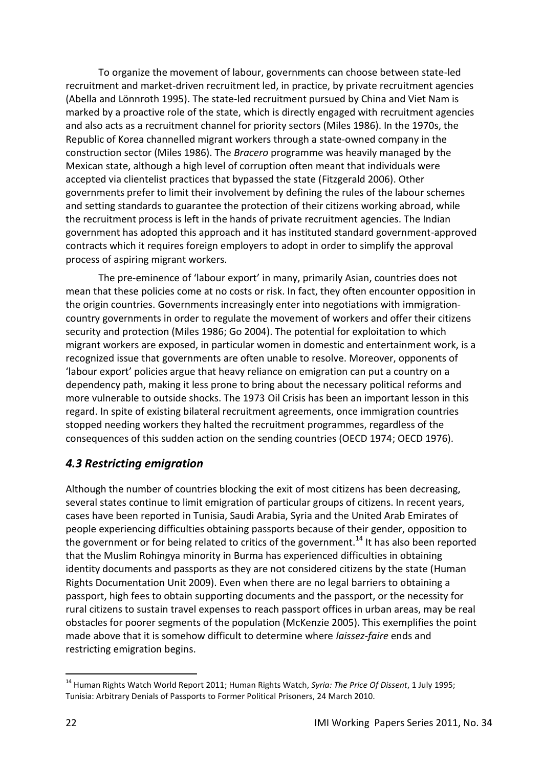To organize the movement of labour, governments can choose between state-led recruitment and market-driven recruitment led, in practice, by private recruitment agencies (Abella and Lönnroth 1995). The state-led recruitment pursued by China and Viet Nam is marked by a proactive role of the state, which is directly engaged with recruitment agencies and also acts as a recruitment channel for priority sectors (Miles 1986). In the 1970s, the Republic of Korea channelled migrant workers through a state-owned company in the construction sector (Miles 1986). The *Bracero* programme was heavily managed by the Mexican state, although a high level of corruption often meant that individuals were accepted via clientelist practices that bypassed the state (Fitzgerald 2006). Other governments prefer to limit their involvement by defining the rules of the labour schemes and setting standards to guarantee the protection of their citizens working abroad, while the recruitment process is left in the hands of private recruitment agencies. The Indian government has adopted this approach and it has instituted standard government-approved contracts which it requires foreign employers to adopt in order to simplify the approval process of aspiring migrant workers.

The pre-eminence of 'labour export' in many, primarily Asian, countries does not mean that these policies come at no costs or risk. In fact, they often encounter opposition in the origin countries. Governments increasingly enter into negotiations with immigrationcountry governments in order to regulate the movement of workers and offer their citizens security and protection (Miles 1986; Go 2004). The potential for exploitation to which migrant workers are exposed, in particular women in domestic and entertainment work, is a recognized issue that governments are often unable to resolve. Moreover, opponents of 'labour export' policies argue that heavy reliance on emigration can put a country on a dependency path, making it less prone to bring about the necessary political reforms and more vulnerable to outside shocks. The 1973 Oil Crisis has been an important lesson in this regard. In spite of existing bilateral recruitment agreements, once immigration countries stopped needing workers they halted the recruitment programmes, regardless of the consequences of this sudden action on the sending countries (OECD 1974; OECD 1976).

#### <span id="page-21-0"></span>*4.3 Restricting emigration*

Although the number of countries blocking the exit of most citizens has been decreasing, several states continue to limit emigration of particular groups of citizens. In recent years, cases have been reported in Tunisia, Saudi Arabia, Syria and the United Arab Emirates of people experiencing difficulties obtaining passports because of their gender, opposition to the government or for being related to critics of the government.<sup>14</sup> It has also been reported that the Muslim Rohingya minority in Burma has experienced difficulties in obtaining identity documents and passports as they are not considered citizens by the state (Human Rights Documentation Unit 2009). Even when there are no legal barriers to obtaining a passport, high fees to obtain supporting documents and the passport, or the necessity for rural citizens to sustain travel expenses to reach passport offices in urban areas, may be real obstacles for poorer segments of the population (McKenzie 2005). This exemplifies the point made above that it is somehow difficult to determine where *laissez-faire* ends and restricting emigration begins.

<sup>-</sup><sup>14</sup> Human Rights Watch World Report 2011; Human Rights Watch, *Syria: The Price Of Dissent*, 1 July 1995; Tunisia: Arbitrary Denials of Passports to Former Political Prisoners, 24 March 2010.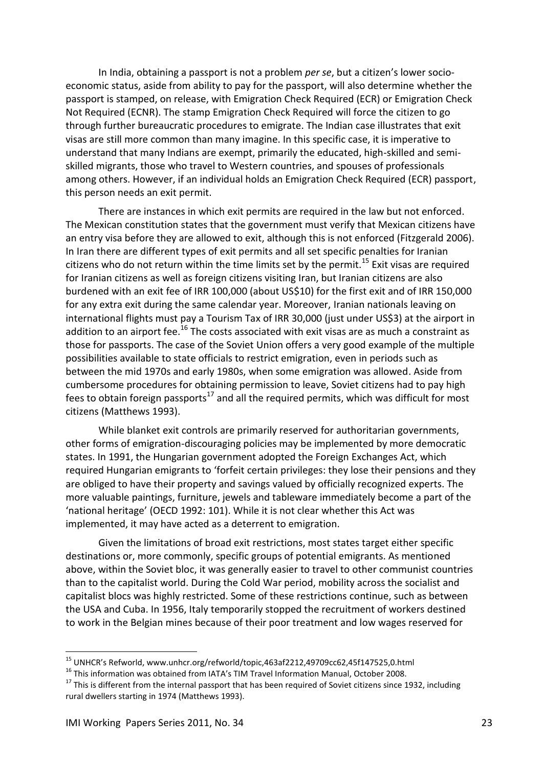In India, obtaining a passport is not a problem *per se*, but a citizen's lower socioeconomic status, aside from ability to pay for the passport, will also determine whether the passport is stamped, on release, with Emigration Check Required (ECR) or Emigration Check Not Required (ECNR). The stamp Emigration Check Required will force the citizen to go through further bureaucratic procedures to emigrate. The Indian case illustrates that exit visas are still more common than many imagine. In this specific case, it is imperative to understand that many Indians are exempt, primarily the educated, high-skilled and semiskilled migrants, those who travel to Western countries, and spouses of professionals among others. However, if an individual holds an Emigration Check Required (ECR) passport, this person needs an exit permit.

There are instances in which exit permits are required in the law but not enforced. The Mexican constitution states that the government must verify that Mexican citizens have an entry visa before they are allowed to exit, although this is not enforced (Fitzgerald 2006). In Iran there are different types of exit permits and all set specific penalties for Iranian citizens who do not return within the time limits set by the permit.<sup>15</sup> Exit visas are required for Iranian citizens as well as foreign citizens visiting Iran, but Iranian citizens are also burdened with an exit fee of IRR 100,000 (about US\$10) for the first exit and of IRR 150,000 for any extra exit during the same calendar year. Moreover, Iranian nationals leaving on international flights must pay a Tourism Tax of IRR 30,000 (just under US\$3) at the airport in addition to an airport fee.<sup>16</sup> The costs associated with exit visas are as much a constraint as those for passports. The case of the Soviet Union offers a very good example of the multiple possibilities available to state officials to restrict emigration, even in periods such as between the mid 1970s and early 1980s, when some emigration was allowed. Aside from cumbersome procedures for obtaining permission to leave, Soviet citizens had to pay high fees to obtain foreign passports<sup>17</sup> and all the required permits, which was difficult for most citizens (Matthews 1993).

While blanket exit controls are primarily reserved for authoritarian governments, other forms of emigration-discouraging policies may be implemented by more democratic states. In 1991, the Hungarian government adopted the Foreign Exchanges Act, which required Hungarian emigrants to 'forfeit certain privileges: they lose their pensions and they are obliged to have their property and savings valued by officially recognized experts. The more valuable paintings, furniture, jewels and tableware immediately become a part of the 'national heritage' (OECD 1992: 101). While it is not clear whether this Act was implemented, it may have acted as a deterrent to emigration.

Given the limitations of broad exit restrictions, most states target either specific destinations or, more commonly, specific groups of potential emigrants. As mentioned above, within the Soviet bloc, it was generally easier to travel to other communist countries than to the capitalist world. During the Cold War period, mobility across the socialist and capitalist blocs was highly restricted. Some of these restrictions continue, such as between the USA and Cuba. In 1956, Italy temporarily stopped the recruitment of workers destined to work in the Belgian mines because of their poor treatment and low wages reserved for

-

<sup>&</sup>lt;sup>15</sup> UNHCR's Refworld, www.unhcr.org/refworld/topic,463af2212,49709cc62,45f147525,0.html

<sup>&</sup>lt;sup>16</sup> This information was obtained from IATA's TIM Travel Information Manual, October 2008.

<sup>&</sup>lt;sup>17</sup> This is different from the internal passport that has been required of Soviet citizens since 1932, including rural dwellers starting in 1974 (Matthews 1993).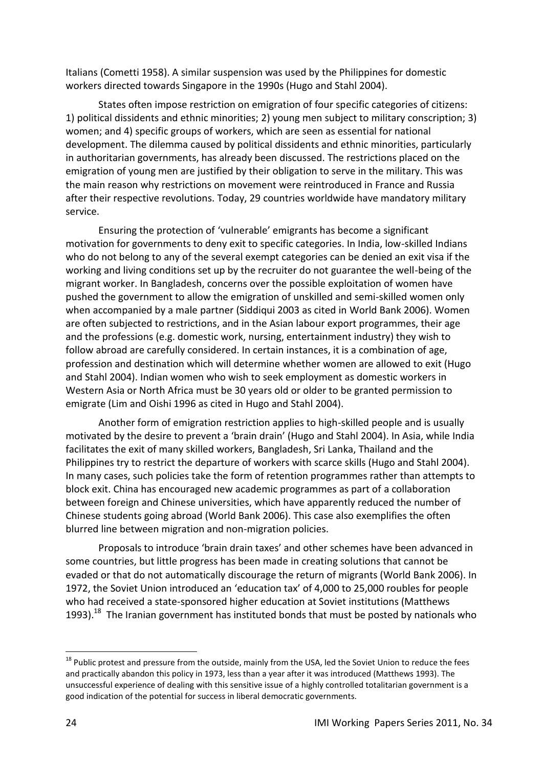Italians (Cometti 1958). A similar suspension was used by the Philippines for domestic workers directed towards Singapore in the 1990s (Hugo and Stahl 2004).

States often impose restriction on emigration of four specific categories of citizens: 1) political dissidents and ethnic minorities; 2) young men subject to military conscription; 3) women; and 4) specific groups of workers, which are seen as essential for national development. The dilemma caused by political dissidents and ethnic minorities, particularly in authoritarian governments, has already been discussed. The restrictions placed on the emigration of young men are justified by their obligation to serve in the military. This was the main reason why restrictions on movement were reintroduced in France and Russia after their respective revolutions. Today, 29 countries worldwide have mandatory military service.

Ensuring the protection of 'vulnerable' emigrants has become a significant motivation for governments to deny exit to specific categories. In India, low-skilled Indians who do not belong to any of the several exempt categories can be denied an exit visa if the working and living conditions set up by the recruiter do not guarantee the well-being of the migrant worker. In Bangladesh, concerns over the possible exploitation of women have pushed the government to allow the emigration of unskilled and semi-skilled women only when accompanied by a male partner (Siddiqui 2003 as cited in World Bank 2006). Women are often subjected to restrictions, and in the Asian labour export programmes, their age and the professions (e.g. domestic work, nursing, entertainment industry) they wish to follow abroad are carefully considered. In certain instances, it is a combination of age, profession and destination which will determine whether women are allowed to exit (Hugo and Stahl 2004). Indian women who wish to seek employment as domestic workers in Western Asia or North Africa must be 30 years old or older to be granted permission to emigrate (Lim and Oishi 1996 as cited in Hugo and Stahl 2004).

Another form of emigration restriction applies to high-skilled people and is usually motivated by the desire to prevent a 'brain drain' (Hugo and Stahl 2004). In Asia, while India facilitates the exit of many skilled workers, Bangladesh, Sri Lanka, Thailand and the Philippines try to restrict the departure of workers with scarce skills (Hugo and Stahl 2004). In many cases, such policies take the form of retention programmes rather than attempts to block exit. China has encouraged new academic programmes as part of a collaboration between foreign and Chinese universities, which have apparently reduced the number of Chinese students going abroad (World Bank 2006). This case also exemplifies the often blurred line between migration and non-migration policies.

Proposals to introduce 'brain drain taxes' and other schemes have been advanced in some countries, but little progress has been made in creating solutions that cannot be evaded or that do not automatically discourage the return of migrants (World Bank 2006). In 1972, the Soviet Union introduced an 'education tax' of 4,000 to 25,000 roubles for people who had received a state-sponsored higher education at Soviet institutions (Matthews 1993).<sup>18</sup> The Iranian government has instituted bonds that must be posted by nationals who

-

<sup>&</sup>lt;sup>18</sup> Public protest and pressure from the outside, mainly from the USA, led the Soviet Union to reduce the fees and practically abandon this policy in 1973, less than a year after it was introduced (Matthews 1993). The unsuccessful experience of dealing with this sensitive issue of a highly controlled totalitarian government is a good indication of the potential for success in liberal democratic governments.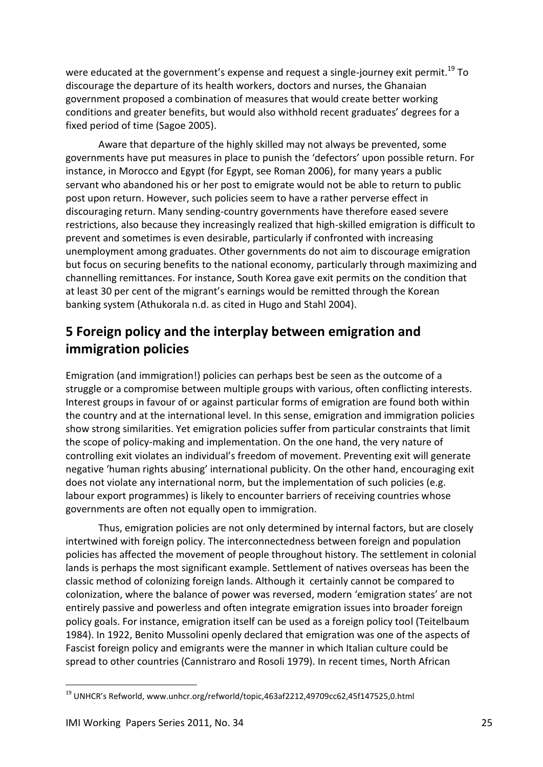were educated at the government's expense and request a single-journey exit permit.<sup>19</sup> To discourage the departure of its health workers, doctors and nurses, the Ghanaian government proposed a combination of measures that would create better working conditions and greater benefits, but would also withhold recent graduates' degrees for a fixed period of time (Sagoe 2005).

Aware that departure of the highly skilled may not always be prevented, some governments have put measures in place to punish the 'defectors' upon possible return. For instance, in Morocco and Egypt (for Egypt, see Roman 2006), for many years a public servant who abandoned his or her post to emigrate would not be able to return to public post upon return. However, such policies seem to have a rather perverse effect in discouraging return. Many sending-country governments have therefore eased severe restrictions, also because they increasingly realized that high-skilled emigration is difficult to prevent and sometimes is even desirable, particularly if confronted with increasing unemployment among graduates. Other governments do not aim to discourage emigration but focus on securing benefits to the national economy, particularly through maximizing and channelling remittances. For instance, South Korea gave exit permits on the condition that at least 30 per cent of the migrant's earnings would be remitted through the Korean banking system (Athukorala n.d. as cited in Hugo and Stahl 2004).

## <span id="page-24-0"></span>**5 Foreign policy and the interplay between emigration and immigration policies**

Emigration (and immigration!) policies can perhaps best be seen as the outcome of a struggle or a compromise between multiple groups with various, often conflicting interests. Interest groups in favour of or against particular forms of emigration are found both within the country and at the international level. In this sense, emigration and immigration policies show strong similarities. Yet emigration policies suffer from particular constraints that limit the scope of policy-making and implementation. On the one hand, the very nature of controlling exit violates an individual's freedom of movement. Preventing exit will generate negative 'human rights abusing' international publicity. On the other hand, encouraging exit does not violate any international norm, but the implementation of such policies (e.g. labour export programmes) is likely to encounter barriers of receiving countries whose governments are often not equally open to immigration.

Thus, emigration policies are not only determined by internal factors, but are closely intertwined with foreign policy. The interconnectedness between foreign and population policies has affected the movement of people throughout history. The settlement in colonial lands is perhaps the most significant example. Settlement of natives overseas has been the classic method of colonizing foreign lands. Although it certainly cannot be compared to colonization, where the balance of power was reversed, modern 'emigration states' are not entirely passive and powerless and often integrate emigration issues into broader foreign policy goals. For instance, emigration itself can be used as a foreign policy tool (Teitelbaum 1984). In 1922, Benito Mussolini openly declared that emigration was one of the aspects of Fascist foreign policy and emigrants were the manner in which Italian culture could be spread to other countries (Cannistraro and Rosoli 1979). In recent times, North African

1

<sup>19</sup> UNHCR's Refworld, www.unhcr.org/refworld/topic,463af2212,49709cc62,45f147525,0.html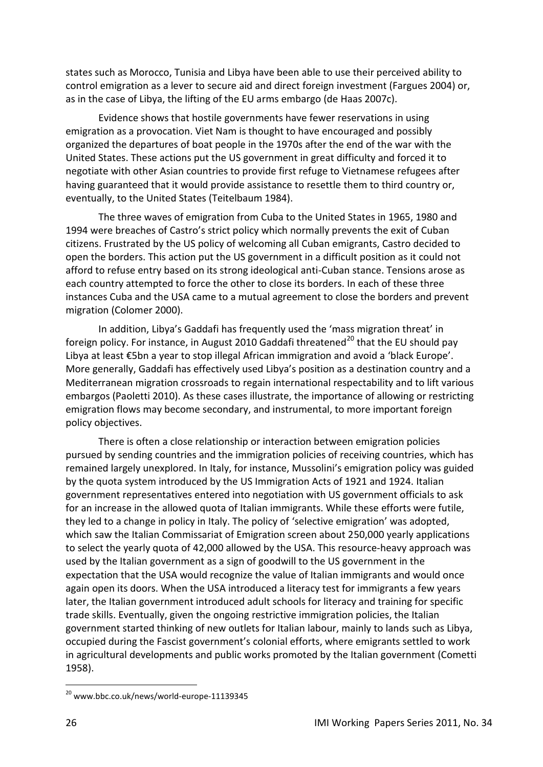states such as Morocco, Tunisia and Libya have been able to use their perceived ability to control emigration as a lever to secure aid and direct foreign investment (Fargues 2004) or, as in the case of Libya, the lifting of the EU arms embargo (de Haas 2007c).

Evidence shows that hostile governments have fewer reservations in using emigration as a provocation. Viet Nam is thought to have encouraged and possibly organized the departures of boat people in the 1970s after the end of the war with the United States. These actions put the US government in great difficulty and forced it to negotiate with other Asian countries to provide first refuge to Vietnamese refugees after having guaranteed that it would provide assistance to resettle them to third country or, eventually, to the United States (Teitelbaum 1984).

The three waves of emigration from Cuba to the United States in 1965, 1980 and 1994 were breaches of Castro's strict policy which normally prevents the exit of Cuban citizens. Frustrated by the US policy of welcoming all Cuban emigrants, Castro decided to open the borders. This action put the US government in a difficult position as it could not afford to refuse entry based on its strong ideological anti-Cuban stance. Tensions arose as each country attempted to force the other to close its borders. In each of these three instances Cuba and the USA came to a mutual agreement to close the borders and prevent migration (Colomer 2000).

In addition, Libya's Gaddafi has frequently used the 'mass migration threat' in foreign policy. For instance, in August 2010 Gaddafi threatened<sup>20</sup> that the EU should pay Libya at least €5bn a year to stop illegal African immigration and avoid a 'black Europe'. More generally, Gaddafi has effectively used Libya's position as a destination country and a Mediterranean migration crossroads to regain international respectability and to lift various embargos (Paoletti 2010). As these cases illustrate, the importance of allowing or restricting emigration flows may become secondary, and instrumental, to more important foreign policy objectives.

There is often a close relationship or interaction between emigration policies pursued by sending countries and the immigration policies of receiving countries, which has remained largely unexplored. In Italy, for instance, Mussolini's emigration policy was guided by the quota system introduced by the US Immigration Acts of 1921 and 1924. Italian government representatives entered into negotiation with US government officials to ask for an increase in the allowed quota of Italian immigrants. While these efforts were futile, they led to a change in policy in Italy. The policy of 'selective emigration' was adopted, which saw the Italian Commissariat of Emigration screen about 250,000 yearly applications to select the yearly quota of 42,000 allowed by the USA. This resource-heavy approach was used by the Italian government as a sign of goodwill to the US government in the expectation that the USA would recognize the value of Italian immigrants and would once again open its doors. When the USA introduced a literacy test for immigrants a few years later, the Italian government introduced adult schools for literacy and training for specific trade skills. Eventually, given the ongoing restrictive immigration policies, the Italian government started thinking of new outlets for Italian labour, mainly to lands such as Libya, occupied during the Fascist government's colonial efforts, where emigrants settled to work in agricultural developments and public works promoted by the Italian government (Cometti 1958).

1

<sup>20</sup> www.bbc.co.uk/news/world-europe-11139345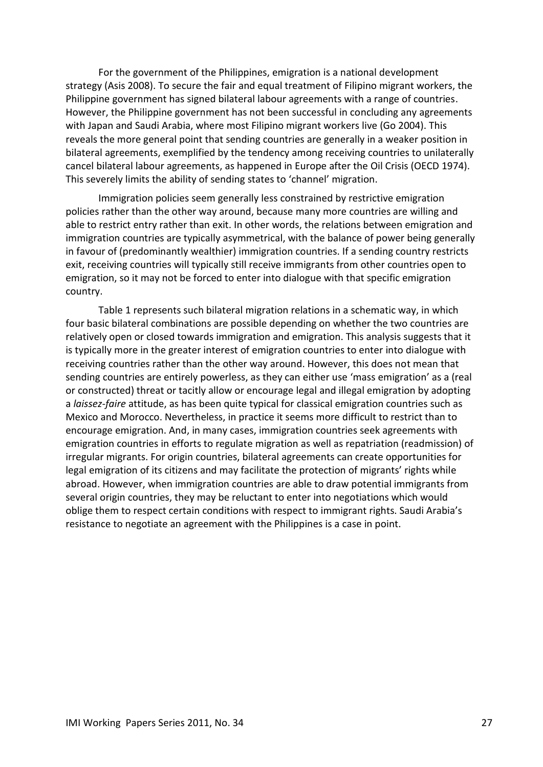For the government of the Philippines, emigration is a national development strategy (Asis 2008). To secure the fair and equal treatment of Filipino migrant workers, the Philippine government has signed bilateral labour agreements with a range of countries. However, the Philippine government has not been successful in concluding any agreements with Japan and Saudi Arabia, where most Filipino migrant workers live (Go 2004). This reveals the more general point that sending countries are generally in a weaker position in bilateral agreements, exemplified by the tendency among receiving countries to unilaterally cancel bilateral labour agreements, as happened in Europe after the Oil Crisis (OECD 1974). This severely limits the ability of sending states to 'channel' migration.

Immigration policies seem generally less constrained by restrictive emigration policies rather than the other way around, because many more countries are willing and able to restrict entry rather than exit. In other words, the relations between emigration and immigration countries are typically asymmetrical, with the balance of power being generally in favour of (predominantly wealthier) immigration countries. If a sending country restricts exit, receiving countries will typically still receive immigrants from other countries open to emigration, so it may not be forced to enter into dialogue with that specific emigration country.

Table 1 represents such bilateral migration relations in a schematic way, in which four basic bilateral combinations are possible depending on whether the two countries are relatively open or closed towards immigration and emigration. This analysis suggests that it is typically more in the greater interest of emigration countries to enter into dialogue with receiving countries rather than the other way around. However, this does not mean that sending countries are entirely powerless, as they can either use 'mass emigration' as a (real or constructed) threat or tacitly allow or encourage legal and illegal emigration by adopting a *laissez-faire* attitude, as has been quite typical for classical emigration countries such as Mexico and Morocco. Nevertheless, in practice it seems more difficult to restrict than to encourage emigration. And, in many cases, immigration countries seek agreements with emigration countries in efforts to regulate migration as well as repatriation (readmission) of irregular migrants. For origin countries, bilateral agreements can create opportunities for legal emigration of its citizens and may facilitate the protection of migrants' rights while abroad. However, when immigration countries are able to draw potential immigrants from several origin countries, they may be reluctant to enter into negotiations which would oblige them to respect certain conditions with respect to immigrant rights. Saudi Arabia's resistance to negotiate an agreement with the Philippines is a case in point.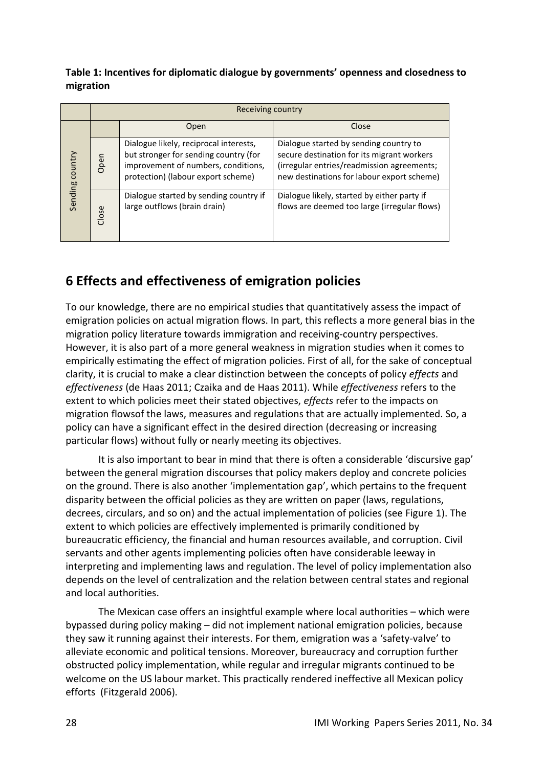**Table 1: Incentives for diplomatic dialogue by governments' openness and closedness to migration**

|                 | Receiving country |                                                                                                                                                              |                                                                                                                                                                                  |  |
|-----------------|-------------------|--------------------------------------------------------------------------------------------------------------------------------------------------------------|----------------------------------------------------------------------------------------------------------------------------------------------------------------------------------|--|
| Sending country |                   | Open                                                                                                                                                         | Close                                                                                                                                                                            |  |
|                 | Open              | Dialogue likely, reciprocal interests,<br>but stronger for sending country (for<br>improvement of numbers, conditions,<br>protection) (labour export scheme) | Dialogue started by sending country to<br>secure destination for its migrant workers<br>(irregular entries/readmission agreements;<br>new destinations for labour export scheme) |  |
|                 | Close             | Dialogue started by sending country if<br>large outflows (brain drain)                                                                                       | Dialogue likely, started by either party if<br>flows are deemed too large (irregular flows)                                                                                      |  |

## <span id="page-27-0"></span>**6 Effects and effectiveness of emigration policies**

To our knowledge, there are no empirical studies that quantitatively assess the impact of emigration policies on actual migration flows. In part, this reflects a more general bias in the migration policy literature towards immigration and receiving-country perspectives. However, it is also part of a more general weakness in migration studies when it comes to empirically estimating the effect of migration policies. First of all, for the sake of conceptual clarity, it is crucial to make a clear distinction between the concepts of policy *effects* and *effectiveness* (de Haas 2011; Czaika and de Haas 2011). While *effectiveness* refers to the extent to which policies meet their stated objectives, *effects* refer to the impacts on migration flowsof the laws, measures and regulations that are actually implemented. So, a policy can have a significant effect in the desired direction (decreasing or increasing particular flows) without fully or nearly meeting its objectives.

It is also important to bear in mind that there is often a considerable 'discursive gap' between the general migration discourses that policy makers deploy and concrete policies on the ground. There is also another 'implementation gap', which pertains to the frequent disparity between the official policies as they are written on paper (laws, regulations, decrees, circulars, and so on) and the actual implementation of policies (see Figure 1). The extent to which policies are effectively implemented is primarily conditioned by bureaucratic efficiency, the financial and human resources available, and corruption. Civil servants and other agents implementing policies often have considerable leeway in interpreting and implementing laws and regulation. The level of policy implementation also depends on the level of centralization and the relation between central states and regional and local authorities.

The Mexican case offers an insightful example where local authorities – which were bypassed during policy making – did not implement national emigration policies, because they saw it running against their interests. For them, emigration was a 'safety-valve' to alleviate economic and political tensions. Moreover, bureaucracy and corruption further obstructed policy implementation, while regular and irregular migrants continued to be welcome on the US labour market. This practically rendered ineffective all Mexican policy efforts (Fitzgerald 2006).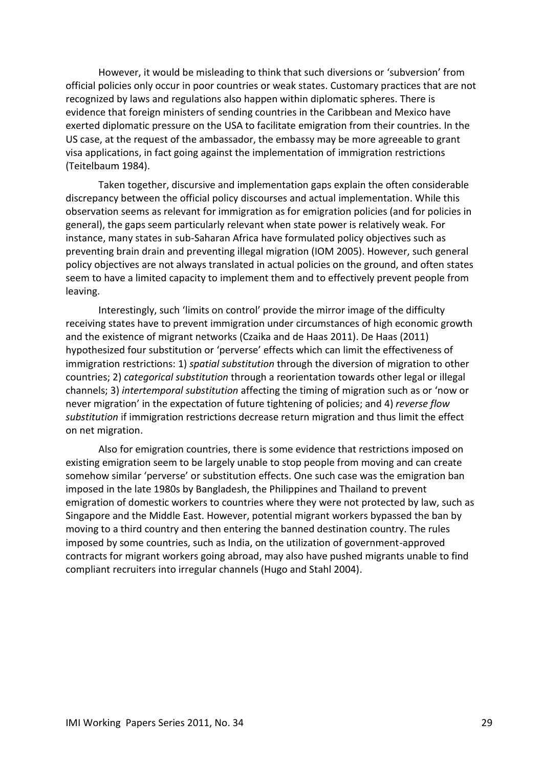However, it would be misleading to think that such diversions or 'subversion' from official policies only occur in poor countries or weak states. Customary practices that are not recognized by laws and regulations also happen within diplomatic spheres. There is evidence that foreign ministers of sending countries in the Caribbean and Mexico have exerted diplomatic pressure on the USA to facilitate emigration from their countries. In the US case, at the request of the ambassador, the embassy may be more agreeable to grant visa applications, in fact going against the implementation of immigration restrictions (Teitelbaum 1984).

Taken together, discursive and implementation gaps explain the often considerable discrepancy between the official policy discourses and actual implementation. While this observation seems as relevant for immigration as for emigration policies (and for policies in general), the gaps seem particularly relevant when state power is relatively weak. For instance, many states in sub-Saharan Africa have formulated policy objectives such as preventing brain drain and preventing illegal migration (IOM 2005). However, such general policy objectives are not always translated in actual policies on the ground, and often states seem to have a limited capacity to implement them and to effectively prevent people from leaving.

Interestingly, such 'limits on control' provide the mirror image of the difficulty receiving states have to prevent immigration under circumstances of high economic growth and the existence of migrant networks (Czaika and de Haas 2011). De Haas (2011) hypothesized four substitution or 'perverse' effects which can limit the effectiveness of immigration restrictions: 1) *spatial substitution* through the diversion of migration to other countries; 2) *categorical substitution* through a reorientation towards other legal or illegal channels; 3) *intertemporal substitution* affecting the timing of migration such as or 'now or never migration' in the expectation of future tightening of policies; and 4) *reverse flow substitution* if immigration restrictions decrease return migration and thus limit the effect on net migration.

Also for emigration countries, there is some evidence that restrictions imposed on existing emigration seem to be largely unable to stop people from moving and can create somehow similar 'perverse' or substitution effects. One such case was the emigration ban imposed in the late 1980s by Bangladesh, the Philippines and Thailand to prevent emigration of domestic workers to countries where they were not protected by law, such as Singapore and the Middle East. However, potential migrant workers bypassed the ban by moving to a third country and then entering the banned destination country. The rules imposed by some countries, such as India, on the utilization of government-approved contracts for migrant workers going abroad, may also have pushed migrants unable to find compliant recruiters into irregular channels (Hugo and Stahl 2004).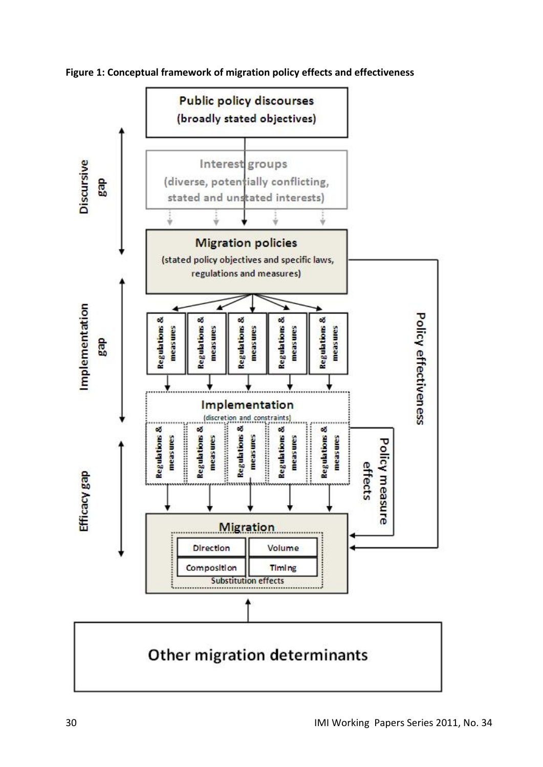![](_page_29_Figure_0.jpeg)

**Figure 1: Conceptual framework of migration policy effects and effectiveness**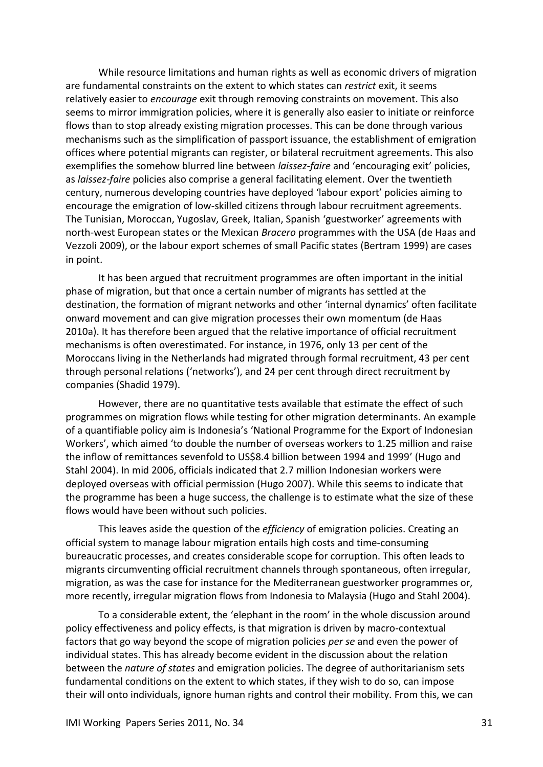While resource limitations and human rights as well as economic drivers of migration are fundamental constraints on the extent to which states can *restrict* exit, it seems relatively easier to *encourage* exit through removing constraints on movement. This also seems to mirror immigration policies, where it is generally also easier to initiate or reinforce flows than to stop already existing migration processes. This can be done through various mechanisms such as the simplification of passport issuance, the establishment of emigration offices where potential migrants can register, or bilateral recruitment agreements. This also exemplifies the somehow blurred line between *laissez-faire* and 'encouraging exit' policies, as *laissez-faire* policies also comprise a general facilitating element. Over the twentieth century, numerous developing countries have deployed 'labour export' policies aiming to encourage the emigration of low-skilled citizens through labour recruitment agreements. The Tunisian, Moroccan, Yugoslav, Greek, Italian, Spanish 'guestworker' agreements with north-west European states or the Mexican *Bracero* programmes with the USA (de Haas and Vezzoli 2009), or the labour export schemes of small Pacific states (Bertram 1999) are cases in point.

It has been argued that recruitment programmes are often important in the initial phase of migration, but that once a certain number of migrants has settled at the destination, the formation of migrant networks and other 'internal dynamics' often facilitate onward movement and can give migration processes their own momentum (de Haas 2010a). It has therefore been argued that the relative importance of official recruitment mechanisms is often overestimated. For instance, in 1976, only 13 per cent of the Moroccans living in the Netherlands had migrated through formal recruitment, 43 per cent through personal relations ('networks'), and 24 per cent through direct recruitment by companies (Shadid 1979).

However, there are no quantitative tests available that estimate the effect of such programmes on migration flows while testing for other migration determinants. An example of a quantifiable policy aim is Indonesia's 'National Programme for the Export of Indonesian Workers', which aimed 'to double the number of overseas workers to 1.25 million and raise the inflow of remittances sevenfold to US\$8.4 billion between 1994 and 1999' (Hugo and Stahl 2004). In mid 2006, officials indicated that 2.7 million Indonesian workers were deployed overseas with official permission (Hugo 2007). While this seems to indicate that the programme has been a huge success, the challenge is to estimate what the size of these flows would have been without such policies.

This leaves aside the question of the *efficiency* of emigration policies. Creating an official system to manage labour migration entails high costs and time-consuming bureaucratic processes, and creates considerable scope for corruption. This often leads to migrants circumventing official recruitment channels through spontaneous, often irregular, migration, as was the case for instance for the Mediterranean guestworker programmes or, more recently, irregular migration flows from Indonesia to Malaysia (Hugo and Stahl 2004).

To a considerable extent, the 'elephant in the room' in the whole discussion around policy effectiveness and policy effects, is that migration is driven by macro-contextual factors that go way beyond the scope of migration policies *per se* and even the power of individual states. This has already become evident in the discussion about the relation between the *nature of states* and emigration policies. The degree of authoritarianism sets fundamental conditions on the extent to which states, if they wish to do so, can impose their will onto individuals, ignore human rights and control their mobility. From this, we can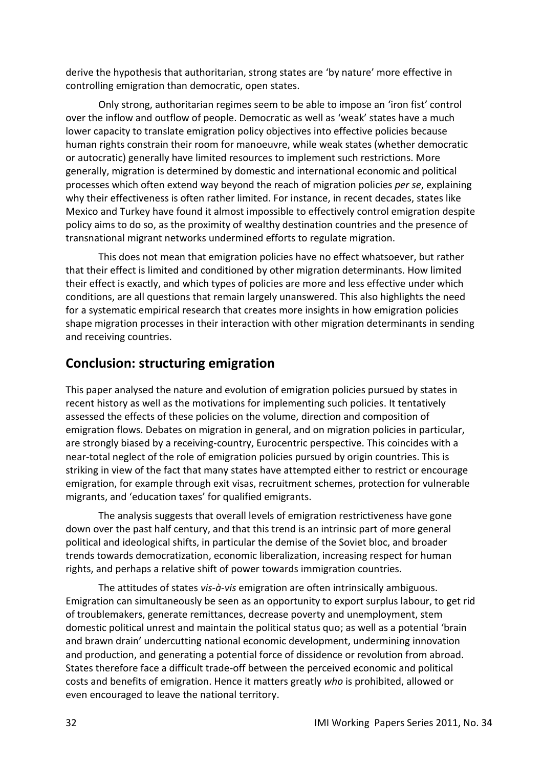derive the hypothesis that authoritarian, strong states are 'by nature' more effective in controlling emigration than democratic, open states.

Only strong, authoritarian regimes seem to be able to impose an 'iron fist' control over the inflow and outflow of people. Democratic as well as 'weak' states have a much lower capacity to translate emigration policy objectives into effective policies because human rights constrain their room for manoeuvre, while weak states (whether democratic or autocratic) generally have limited resources to implement such restrictions. More generally, migration is determined by domestic and international economic and political processes which often extend way beyond the reach of migration policies *per se*, explaining why their effectiveness is often rather limited. For instance, in recent decades, states like Mexico and Turkey have found it almost impossible to effectively control emigration despite policy aims to do so, as the proximity of wealthy destination countries and the presence of transnational migrant networks undermined efforts to regulate migration.

This does not mean that emigration policies have no effect whatsoever, but rather that their effect is limited and conditioned by other migration determinants. How limited their effect is exactly, and which types of policies are more and less effective under which conditions, are all questions that remain largely unanswered. This also highlights the need for a systematic empirical research that creates more insights in how emigration policies shape migration processes in their interaction with other migration determinants in sending and receiving countries.

## <span id="page-31-0"></span>**Conclusion: structuring emigration**

This paper analysed the nature and evolution of emigration policies pursued by states in recent history as well as the motivations for implementing such policies. It tentatively assessed the effects of these policies on the volume, direction and composition of emigration flows. Debates on migration in general, and on migration policies in particular, are strongly biased by a receiving-country, Eurocentric perspective. This coincides with a near-total neglect of the role of emigration policies pursued by origin countries. This is striking in view of the fact that many states have attempted either to restrict or encourage emigration, for example through exit visas, recruitment schemes, protection for vulnerable migrants, and 'education taxes' for qualified emigrants.

The analysis suggests that overall levels of emigration restrictiveness have gone down over the past half century, and that this trend is an intrinsic part of more general political and ideological shifts, in particular the demise of the Soviet bloc, and broader trends towards democratization, economic liberalization, increasing respect for human rights, and perhaps a relative shift of power towards immigration countries.

The attitudes of states *vis-à-vis* emigration are often intrinsically ambiguous. Emigration can simultaneously be seen as an opportunity to export surplus labour, to get rid of troublemakers, generate remittances, decrease poverty and unemployment, stem domestic political unrest and maintain the political status quo; as well as a potential 'brain and brawn drain' undercutting national economic development, undermining innovation and production, and generating a potential force of dissidence or revolution from abroad. States therefore face a difficult trade-off between the perceived economic and political costs and benefits of emigration. Hence it matters greatly *who* is prohibited, allowed or even encouraged to leave the national territory.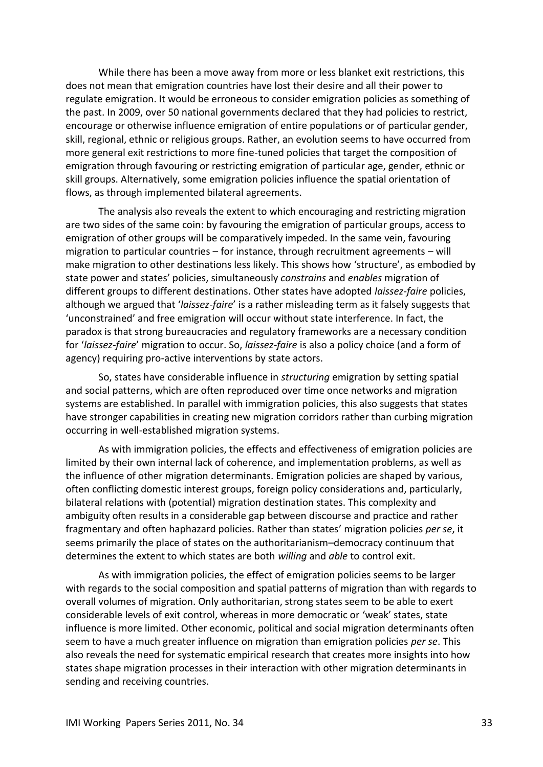While there has been a move away from more or less blanket exit restrictions, this does not mean that emigration countries have lost their desire and all their power to regulate emigration. It would be erroneous to consider emigration policies as something of the past. In 2009, over 50 national governments declared that they had policies to restrict, encourage or otherwise influence emigration of entire populations or of particular gender, skill, regional, ethnic or religious groups. Rather, an evolution seems to have occurred from more general exit restrictions to more fine-tuned policies that target the composition of emigration through favouring or restricting emigration of particular age, gender, ethnic or skill groups. Alternatively, some emigration policies influence the spatial orientation of flows, as through implemented bilateral agreements.

The analysis also reveals the extent to which encouraging and restricting migration are two sides of the same coin: by favouring the emigration of particular groups, access to emigration of other groups will be comparatively impeded. In the same vein, favouring migration to particular countries – for instance, through recruitment agreements – will make migration to other destinations less likely. This shows how 'structure', as embodied by state power and states' policies, simultaneously *constrains* and *enables* migration of different groups to different destinations. Other states have adopted *laissez-faire* policies, although we argued that '*laissez-faire*' is a rather misleading term as it falsely suggests that 'unconstrained' and free emigration will occur without state interference. In fact, the paradox is that strong bureaucracies and regulatory frameworks are a necessary condition for '*laissez-faire*' migration to occur. So, *laissez-faire* is also a policy choice (and a form of agency) requiring pro-active interventions by state actors.

So, states have considerable influence in *structuring* emigration by setting spatial and social patterns, which are often reproduced over time once networks and migration systems are established. In parallel with immigration policies, this also suggests that states have stronger capabilities in creating new migration corridors rather than curbing migration occurring in well-established migration systems.

As with immigration policies, the effects and effectiveness of emigration policies are limited by their own internal lack of coherence, and implementation problems, as well as the influence of other migration determinants. Emigration policies are shaped by various, often conflicting domestic interest groups, foreign policy considerations and, particularly, bilateral relations with (potential) migration destination states. This complexity and ambiguity often results in a considerable gap between discourse and practice and rather fragmentary and often haphazard policies. Rather than states' migration policies *per se*, it seems primarily the place of states on the authoritarianism–democracy continuum that determines the extent to which states are both *willing* and *able* to control exit.

As with immigration policies, the effect of emigration policies seems to be larger with regards to the social composition and spatial patterns of migration than with regards to overall volumes of migration. Only authoritarian, strong states seem to be able to exert considerable levels of exit control, whereas in more democratic or 'weak' states, state influence is more limited. Other economic, political and social migration determinants often seem to have a much greater influence on migration than emigration policies *per se*. This also reveals the need for systematic empirical research that creates more insights into how states shape migration processes in their interaction with other migration determinants in sending and receiving countries.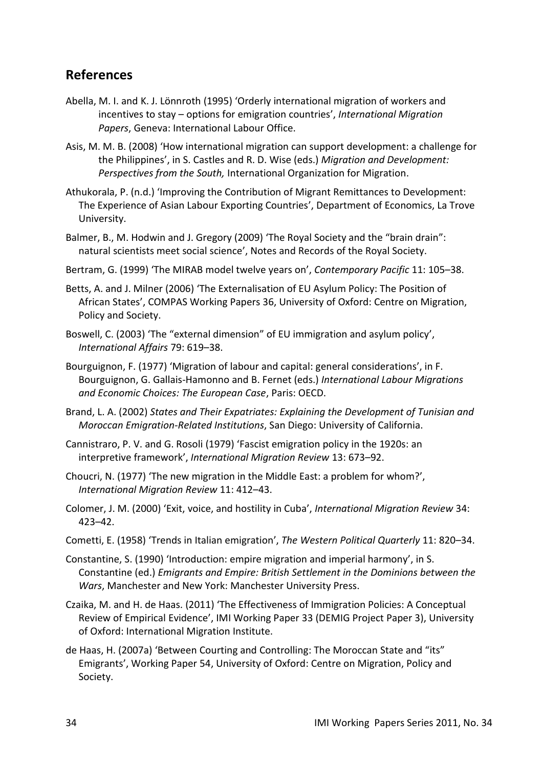### <span id="page-33-0"></span>**References**

- Abella, M. I. and K. J. Lönnroth (1995) 'Orderly international migration of workers and incentives to stay – options for emigration countries', *International Migration Papers*, Geneva: International Labour Office.
- Asis, M. M. B. (2008) 'How international migration can support development: a challenge for the Philippines', in S. Castles and R. D. Wise (eds.) *Migration and Development: Perspectives from the South,* International Organization for Migration.
- Athukorala, P. (n.d.) 'Improving the Contribution of Migrant Remittances to Development: The Experience of Asian Labour Exporting Countries', Department of Economics, La Trove University.
- Balmer, B., M. Hodwin and J. Gregory (2009) 'The Royal Society and the "brain drain": natural scientists meet social science', Notes and Records of the Royal Society.
- Bertram, G. (1999) 'The MIRAB model twelve years on', *Contemporary Pacific* 11: 105–38.
- Betts, A. and J. Milner (2006) 'The Externalisation of EU Asylum Policy: The Position of African States', COMPAS Working Papers 36, University of Oxford: Centre on Migration, Policy and Society.
- Boswell, C. (2003) 'The "external dimension" of EU immigration and asylum policy', *International Affairs* 79: 619–38.
- Bourguignon, F. (1977) 'Migration of labour and capital: general considerations', in F. Bourguignon, G. Gallais-Hamonno and B. Fernet (eds.) *International Labour Migrations and Economic Choices: The European Case*, Paris: OECD.
- Brand, L. A. (2002) *States and Their Expatriates: Explaining the Development of Tunisian and Moroccan Emigration-Related Institutions*, San Diego: University of California.
- Cannistraro, P. V. and G. Rosoli (1979) 'Fascist emigration policy in the 1920s: an interpretive framework', *International Migration Review* 13: 673–92.
- Choucri, N. (1977) 'The new migration in the Middle East: a problem for whom?', *International Migration Review* 11: 412–43.
- Colomer, J. M. (2000) 'Exit, voice, and hostility in Cuba', *International Migration Review* 34: 423–42.
- Cometti, E. (1958) 'Trends in Italian emigration', *The Western Political Quarterly* 11: 820–34.
- Constantine, S. (1990) 'Introduction: empire migration and imperial harmony', in S. Constantine (ed.) *Emigrants and Empire: British Settlement in the Dominions between the Wars*, Manchester and New York: Manchester University Press.
- Czaika, M. and H. de Haas. (2011) 'The Effectiveness of Immigration Policies: A Conceptual Review of Empirical Evidence', IMI Working Paper 33 (DEMIG Project Paper 3), University of Oxford: International Migration Institute.
- de Haas, H. (2007a) 'Between Courting and Controlling: The Moroccan State and "its" Emigrants', Working Paper 54, University of Oxford: Centre on Migration, Policy and Society.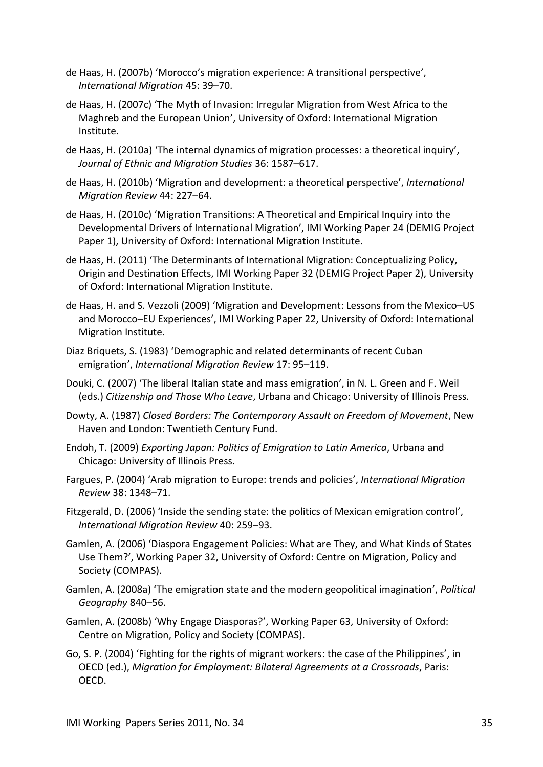- de Haas, H. (2007b) 'Morocco's migration experience: A transitional perspective', *International Migration* 45: 39–70.
- de Haas, H. (2007c) 'The Myth of Invasion: Irregular Migration from West Africa to the Maghreb and the European Union', University of Oxford: International Migration Institute.
- de Haas, H. (2010a) 'The internal dynamics of migration processes: a theoretical inquiry', *Journal of Ethnic and Migration Studies* 36: 1587–617.
- de Haas, H. (2010b) 'Migration and development: a theoretical perspective', *International Migration Review* 44: 227–64.
- de Haas, H. (2010c) 'Migration Transitions: A Theoretical and Empirical Inquiry into the Developmental Drivers of International Migration', IMI Working Paper 24 (DEMIG Project Paper 1), University of Oxford: International Migration Institute.
- de Haas, H. (2011) 'The Determinants of International Migration: Conceptualizing Policy, Origin and Destination Effects, IMI Working Paper 32 (DEMIG Project Paper 2), University of Oxford: International Migration Institute.
- de Haas, H. and S. Vezzoli (2009) 'Migration and Development: Lessons from the Mexico–US and Morocco–EU Experiences', IMI Working Paper 22, University of Oxford: International Migration Institute.
- Diaz Briquets, S. (1983) 'Demographic and related determinants of recent Cuban emigration', *International Migration Review* 17: 95–119.
- Douki, C. (2007) 'The liberal Italian state and mass emigration', in N. L. Green and F. Weil (eds.) *Citizenship and Those Who Leave*, Urbana and Chicago: University of Illinois Press.
- Dowty, A. (1987) *Closed Borders: The Contemporary Assault on Freedom of Movement*, New Haven and London: Twentieth Century Fund.
- Endoh, T. (2009) *Exporting Japan: Politics of Emigration to Latin America*, Urbana and Chicago: University of Illinois Press.
- Fargues, P. (2004) 'Arab migration to Europe: trends and policies', *International Migration Review* 38: 1348–71.
- Fitzgerald, D. (2006) 'Inside the sending state: the politics of Mexican emigration control', *International Migration Review* 40: 259–93.
- Gamlen, A. (2006) 'Diaspora Engagement Policies: What are They, and What Kinds of States Use Them?', Working Paper 32, University of Oxford: Centre on Migration, Policy and Society (COMPAS).
- Gamlen, A. (2008a) 'The emigration state and the modern geopolitical imagination', *Political Geography* 840–56.
- Gamlen, A. (2008b) 'Why Engage Diasporas?', Working Paper 63, University of Oxford: Centre on Migration, Policy and Society (COMPAS).
- Go, S. P. (2004) 'Fighting for the rights of migrant workers: the case of the Philippines', in OECD (ed.), *Migration for Employment: Bilateral Agreements at a Crossroads*, Paris: OECD.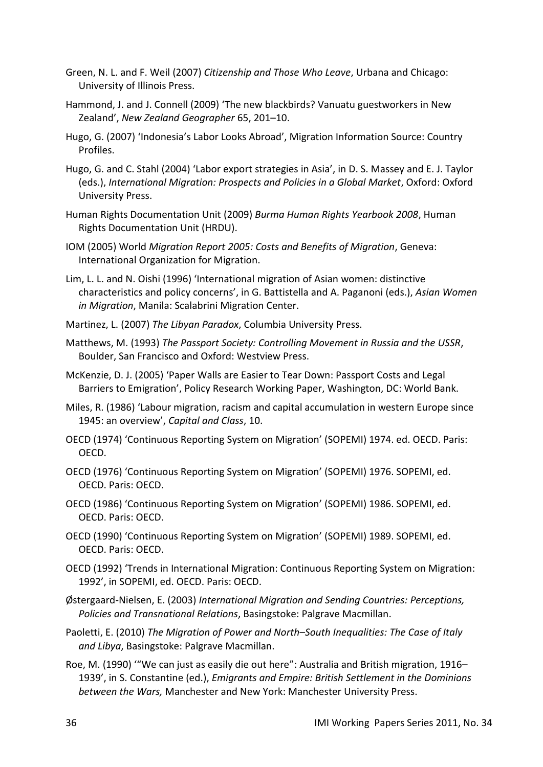- Green, N. L. and F. Weil (2007) *Citizenship and Those Who Leave*, Urbana and Chicago: University of Illinois Press.
- Hammond, J. and J. Connell (2009) 'The new blackbirds? Vanuatu guestworkers in New Zealand', *New Zealand Geographer* 65, 201–10.
- Hugo, G. (2007) 'Indonesia's Labor Looks Abroad', Migration Information Source: Country Profiles.
- Hugo, G. and C. Stahl (2004) 'Labor export strategies in Asia', in D. S. Massey and E. J. Taylor (eds.), *International Migration: Prospects and Policies in a Global Market*, Oxford: Oxford University Press.
- Human Rights Documentation Unit (2009) *Burma Human Rights Yearbook 2008*, Human Rights Documentation Unit (HRDU).
- IOM (2005) World *Migration Report 2005: Costs and Benefits of Migration*, Geneva: International Organization for Migration.
- Lim, L. L. and N. Oishi (1996) 'International migration of Asian women: distinctive characteristics and policy concerns', in G. Battistella and A. Paganoni (eds.), *Asian Women in Migration*, Manila: Scalabrini Migration Center.
- Martinez, L. (2007) *The Libyan Paradox*, Columbia University Press.
- Matthews, M. (1993) *The Passport Society: Controlling Movement in Russia and the USSR*, Boulder, San Francisco and Oxford: Westview Press.
- McKenzie, D. J. (2005) 'Paper Walls are Easier to Tear Down: Passport Costs and Legal Barriers to Emigration', Policy Research Working Paper, Washington, DC: World Bank.
- Miles, R. (1986) 'Labour migration, racism and capital accumulation in western Europe since 1945: an overview', *Capital and Class*, 10.
- OECD (1974) 'Continuous Reporting System on Migration' (SOPEMI) 1974. ed. OECD. Paris: OECD.
- OECD (1976) 'Continuous Reporting System on Migration' (SOPEMI) 1976. SOPEMI, ed. OECD. Paris: OECD.
- OECD (1986) 'Continuous Reporting System on Migration' (SOPEMI) 1986. SOPEMI, ed. OECD. Paris: OECD.
- OECD (1990) 'Continuous Reporting System on Migration' (SOPEMI) 1989. SOPEMI, ed. OECD. Paris: OECD.
- OECD (1992) 'Trends in International Migration: Continuous Reporting System on Migration: 1992', in SOPEMI, ed. OECD. Paris: OECD.
- Østergaard-Nielsen, E. (2003) *International Migration and Sending Countries: Perceptions, Policies and Transnational Relations*, Basingstoke: Palgrave Macmillan.
- Paoletti, E. (2010) *The Migration of Power and North–South Inequalities: The Case of Italy and Libya*, Basingstoke: Palgrave Macmillan.
- Roe, M. (1990) '"We can just as easily die out here": Australia and British migration, 1916– 1939', in S. Constantine (ed.), *Emigrants and Empire: British Settlement in the Dominions between the Wars,* Manchester and New York: Manchester University Press.